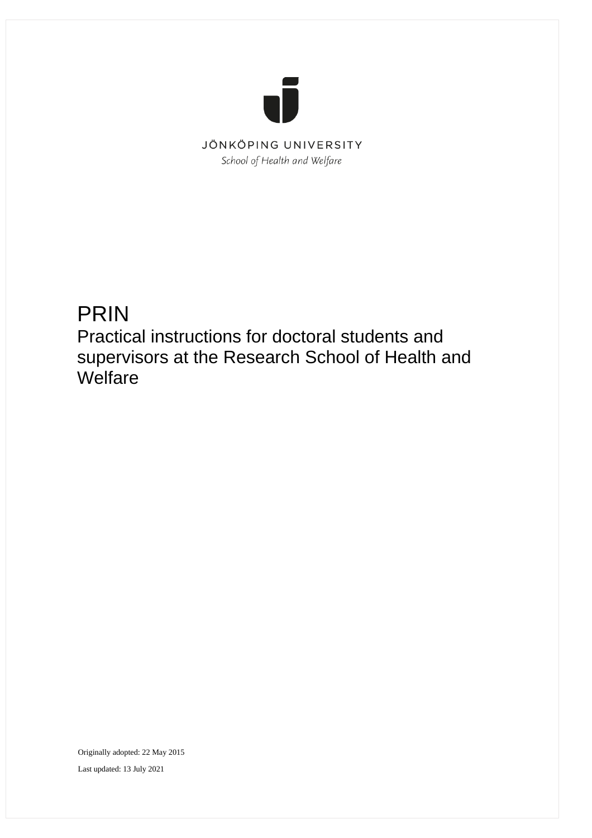

# PRIN

Practical instructions for doctoral students and supervisors at the Research School of Health and **Welfare** 

Originally adopted: 22 May 2015 Last updated: 13 July 2021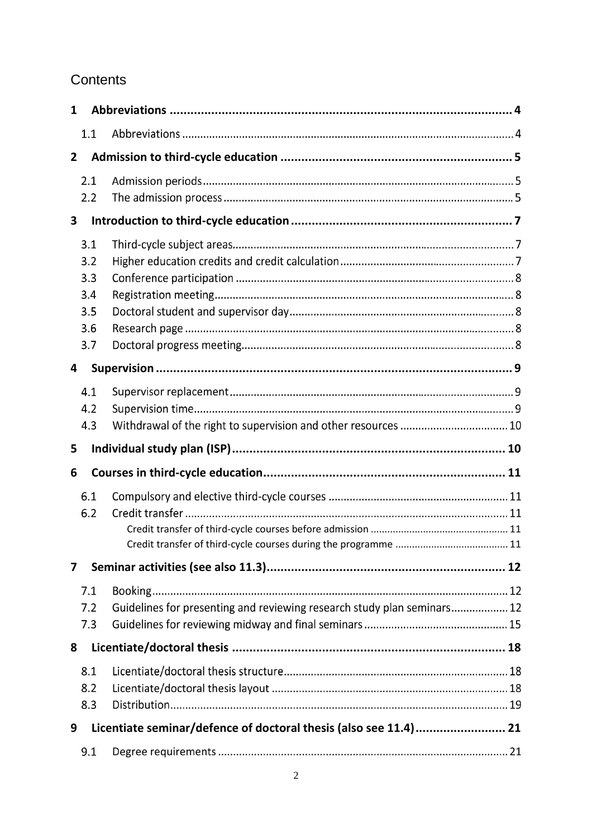## **Contents**

| $\mathbf{1}$   |                                               |                                                                         |  |
|----------------|-----------------------------------------------|-------------------------------------------------------------------------|--|
|                | 1.1                                           |                                                                         |  |
| $\overline{2}$ |                                               |                                                                         |  |
|                | 2.1<br>2.2                                    |                                                                         |  |
| 3              |                                               |                                                                         |  |
|                | 3.1<br>3.2<br>3.3<br>3.4<br>3.5<br>3.6<br>3.7 |                                                                         |  |
| 4              |                                               |                                                                         |  |
|                | 4.1<br>4.2                                    |                                                                         |  |
|                | 4.3                                           | Withdrawal of the right to supervision and other resources  10          |  |
| 5              |                                               |                                                                         |  |
| 6              | 6.1<br>6.2                                    |                                                                         |  |
| 7              |                                               |                                                                         |  |
|                | 7.1<br>7.2<br>7.3                             | Guidelines for presenting and reviewing research study plan seminars 12 |  |
| 8              |                                               |                                                                         |  |
|                | 8.1<br>8.2<br>8.3                             |                                                                         |  |
| 9              |                                               | Licentiate seminar/defence of doctoral thesis (also see 11.4) 21        |  |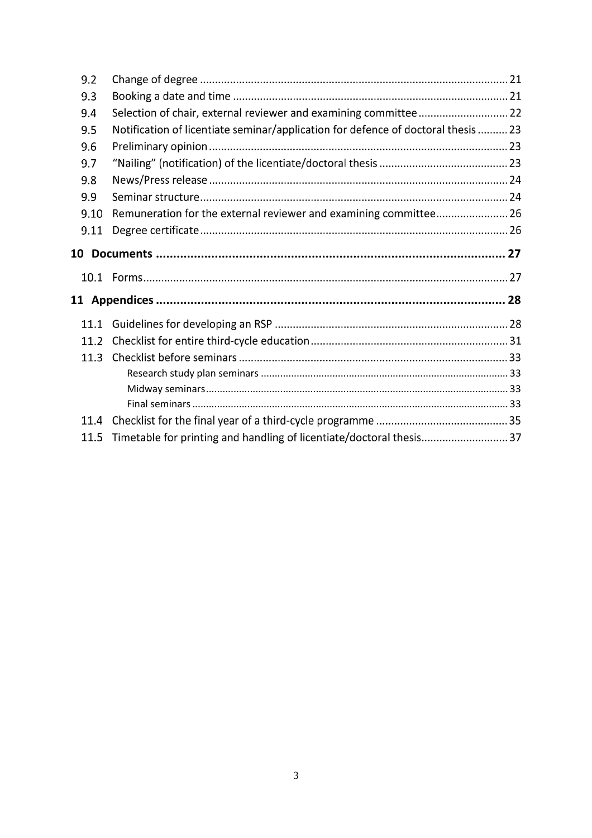| 9.2  |                                                                                   |  |
|------|-----------------------------------------------------------------------------------|--|
| 9.3  |                                                                                   |  |
| 9.4  | Selection of chair, external reviewer and examining committee 22                  |  |
| 9.5  | Notification of licentiate seminar/application for defence of doctoral thesis  23 |  |
| 9.6  |                                                                                   |  |
| 9.7  |                                                                                   |  |
| 9.8  |                                                                                   |  |
| 9.9  |                                                                                   |  |
| 9.10 | Remuneration for the external reviewer and examining committee 26                 |  |
| 9.11 |                                                                                   |  |
|      |                                                                                   |  |
|      |                                                                                   |  |
| 10.1 |                                                                                   |  |
|      | 11 Appendices ……………………………………………………………………………………… 28                                |  |
| 11.1 |                                                                                   |  |
| 11.2 |                                                                                   |  |
| 11.3 |                                                                                   |  |
|      |                                                                                   |  |
|      |                                                                                   |  |
|      |                                                                                   |  |
| 11.4 |                                                                                   |  |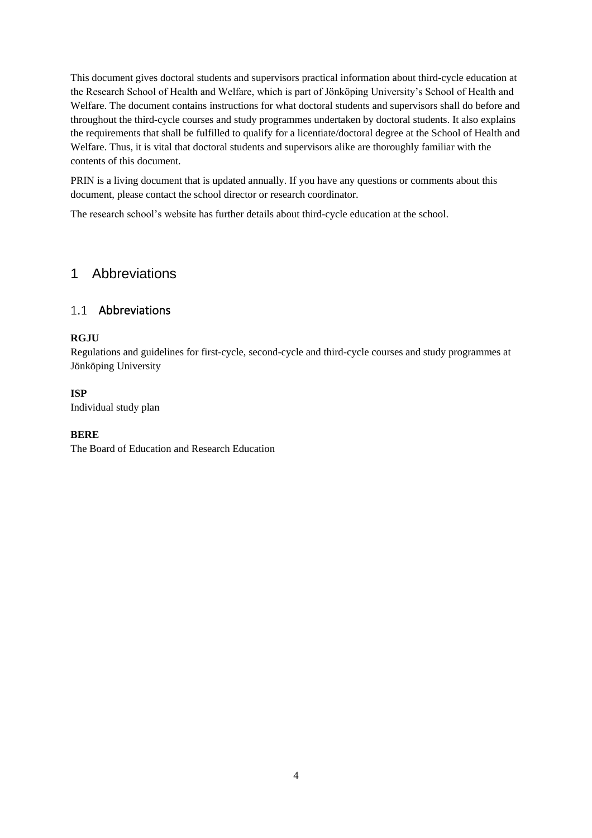This document gives doctoral students and supervisors practical information about third-cycle education at the Research School of Health and Welfare, which is part of Jönköping University's School of Health and Welfare. The document contains instructions for what doctoral students and supervisors shall do before and throughout the third-cycle courses and study programmes undertaken by doctoral students. It also explains the requirements that shall be fulfilled to qualify for a licentiate/doctoral degree at the School of Health and Welfare. Thus, it is vital that doctoral students and supervisors alike are thoroughly familiar with the contents of this document.

PRIN is a living document that is updated annually. If you have any questions or comments about this document, please contact the school director or research coordinator.

The [research school's website](https://ju.se/forskning/forskarutbildning/forskarskolan-halsa-och-valfard.html) has further details about third-cycle education at the school.

## <span id="page-3-0"></span>1 Abbreviations

## 1.1 Abbreviations

### **RGJU**

Regulations and guidelines for first-cycle, second-cycle and third-cycle courses and study programmes at Jönköping University

### **ISP**

Individual study plan

#### **BERE**

The Board of Education and Research Education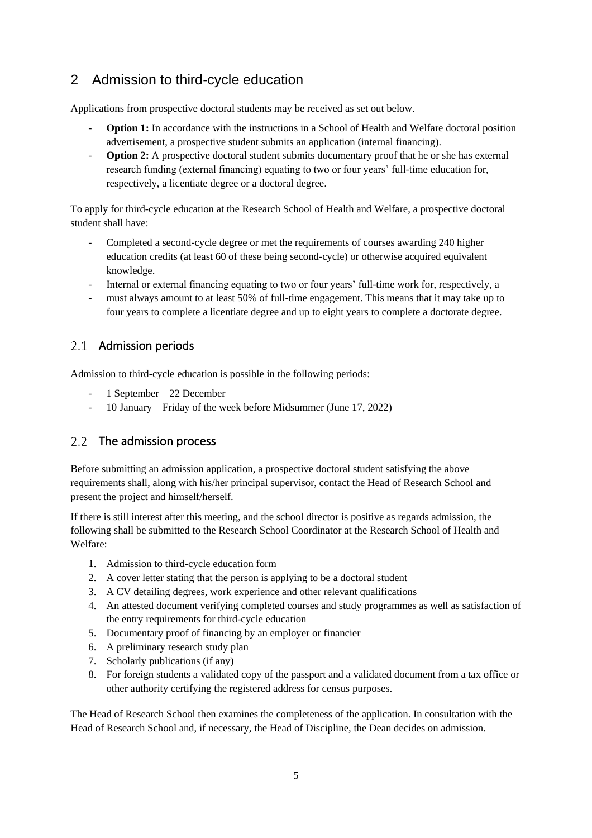## <span id="page-4-0"></span>2 Admission to third-cycle education

Applications from prospective doctoral students may be received as set out below.

- **Option 1:** In accordance with the instructions in a School of Health and Welfare doctoral position advertisement, a prospective student submits an application (internal financing).
- **Option 2:** A prospective doctoral student submits documentary proof that he or she has external research funding (external financing) equating to two or four years' full-time education for, respectively, a licentiate degree or a doctoral degree.

To apply for third-cycle education at the Research School of Health and Welfare, a prospective doctoral student shall have:

- Completed a second-cycle degree or met the requirements of courses awarding 240 higher education credits (at least 60 of these being second-cycle) or otherwise acquired equivalent knowledge.
- Internal or external financing equating to two or four years' full-time work for, respectively, a
- must always amount to at least 50% of full-time engagement. This means that it may take up to four years to complete a licentiate degree and up to eight years to complete a doctorate degree.

## 2.1 Admission periods

Admission to third-cycle education is possible in the following periods:

- 1 September 22 December
- 10 January Friday of the week before Midsummer (June 17, 2022)

## 2.2 The admission process

Before submitting an admission application, a prospective doctoral student satisfying the above requirements shall, along with his/her principal supervisor, contact the Head of Research School and present the project and himself/herself.

If there is still interest after this meeting, and the school director is positive as regards admission, the following shall be submitted to the Research School Coordinator at the Research School of Health and Welfare:

- 1. Admission to third-cycle education form
- 2. A cover letter stating that the person is applying to be a doctoral student
- 3. A CV detailing degrees, work experience and other relevant qualifications
- 4. An attested document verifying completed courses and study programmes as well as satisfaction of the entry requirements for third-cycle education
- 5. Documentary proof of financing by an employer or financier
- 6. A preliminary research study plan
- 7. Scholarly publications (if any)
- 8. For foreign students a validated copy of the passport and a validated document from a tax office or other authority certifying the registered address for census purposes.

The Head of Research School then examines the completeness of the application. In consultation with the Head of Research School and, if necessary, the Head of Discipline, the Dean decides on admission.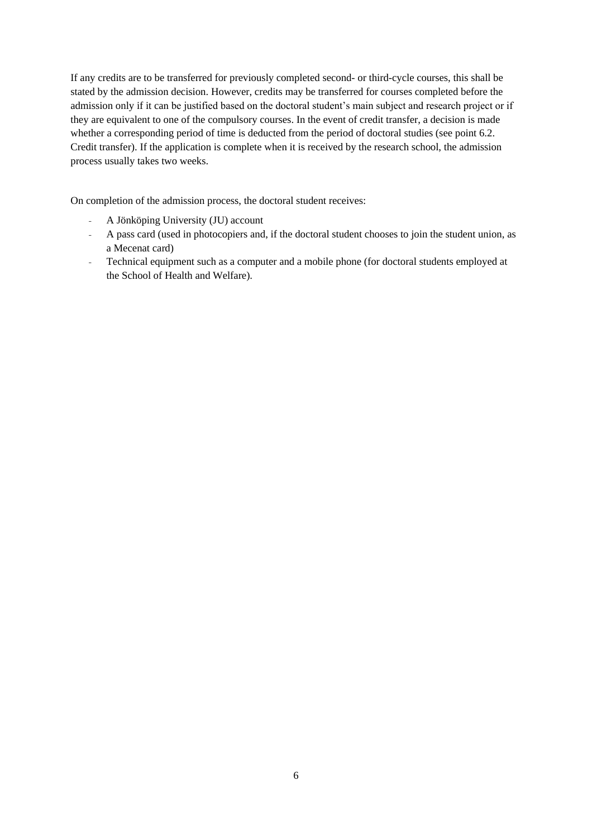If any credits are to be transferred for previously completed second- or third-cycle courses, this shall be stated by the admission decision. However, credits may be transferred for courses completed before the admission only if it can be justified based on the doctoral student's main subject and research project or if they are equivalent to one of the compulsory courses. In the event of credit transfer, a decision is made whether a corresponding period of time is deducted from the period of doctoral studies (see point 6.2. Credit transfer). If the application is complete when it is received by the research school, the admission process usually takes two weeks.

On completion of the admission process, the doctoral student receives:

- A Jönköping University (JU) account
- A pass card (used in photocopiers and, if the doctoral student chooses to join the student union, as a Mecenat card)
- Technical equipment such as a computer and a mobile phone (for doctoral students employed at the School of Health and Welfare).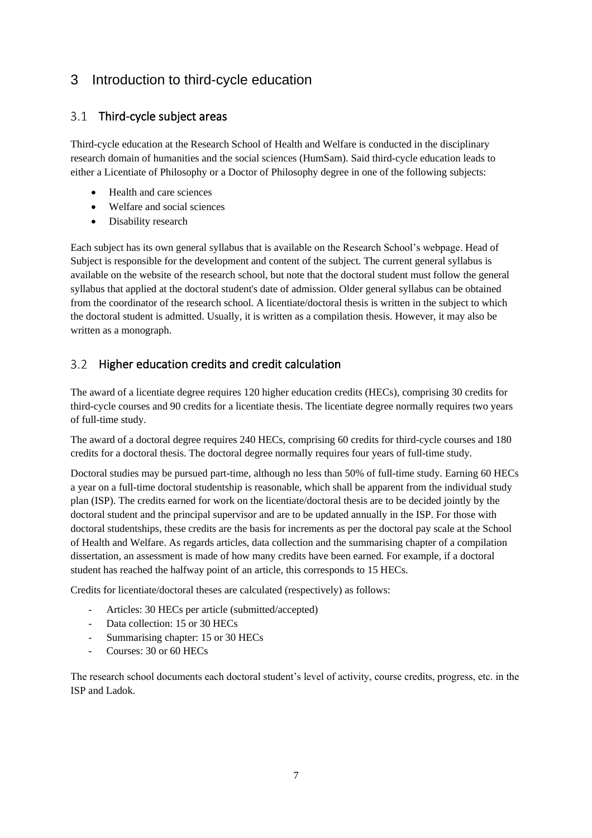## <span id="page-6-0"></span>3 Introduction to third-cycle education

## 3.1 Third-cycle subject areas

Third-cycle education at the Research School of Health and Welfare is conducted in the disciplinary research domain of humanities and the social sciences (HumSam). Said third-cycle education leads to either a Licentiate of Philosophy or a Doctor of Philosophy degree in one of the following subjects:

- Health and care sciences
- Welfare and social sciences
- Disability research

Each subject has its own general syllabus that is available on the Research School's webpage. Head of Subject is responsible for the development and content of the subject. The current general syllabus is available on the website of the research school, but note that the doctoral student must follow the general syllabus that applied at the doctoral student's date of admission. Older general syllabus can be obtained from the coordinator of the research school. A licentiate/doctoral thesis is written in the subject to which the doctoral student is admitted. Usually, it is written as a compilation thesis. However, it may also be written as a monograph.

#### $3.2$ Higher education credits and credit calculation

The award of a licentiate degree requires 120 higher education credits (HECs), comprising 30 credits for third-cycle courses and 90 credits for a licentiate thesis. The licentiate degree normally requires two years of full-time study.

The award of a doctoral degree requires 240 HECs, comprising 60 credits for third-cycle courses and 180 credits for a doctoral thesis. The doctoral degree normally requires four years of full-time study.

Doctoral studies may be pursued part-time, although no less than 50% of full-time study. Earning 60 HECs a year on a full-time doctoral studentship is reasonable, which shall be apparent from the individual study plan (ISP). The credits earned for work on the licentiate/doctoral thesis are to be decided jointly by the doctoral student and the principal supervisor and are to be updated annually in the ISP. For those with doctoral studentships, these credits are the basis for increments as per the doctoral pay scale at the School of Health and Welfare. As regards articles, data collection and the summarising chapter of a compilation dissertation, an assessment is made of how many credits have been earned. For example, if a doctoral student has reached the halfway point of an article, this corresponds to 15 HECs.

Credits for licentiate/doctoral theses are calculated (respectively) as follows:

- Articles: 30 HECs per article (submitted/accepted)
- Data collection: 15 or 30 HECs
- Summarising chapter: 15 or 30 HECs
- Courses: 30 or 60 HECs

The research school documents each doctoral student's level of activity, course credits, progress, etc. in the ISP and Ladok.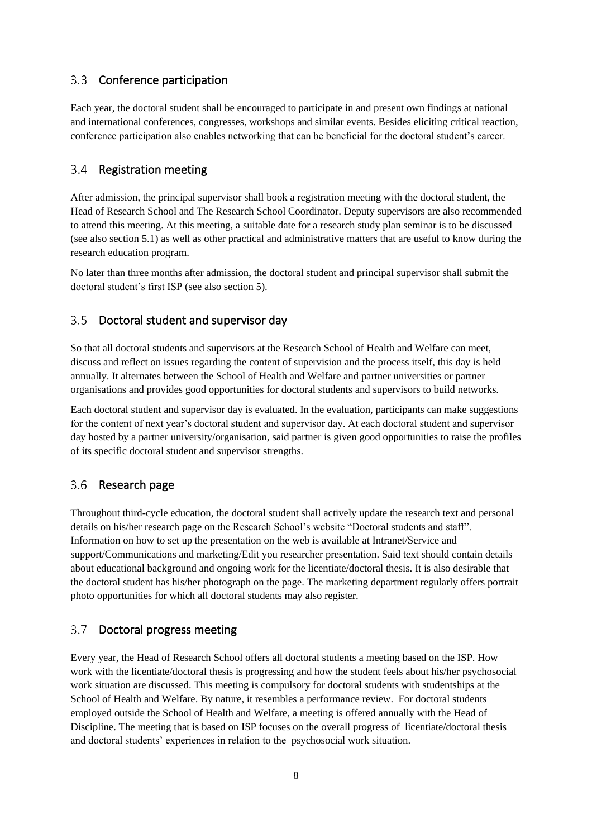#### $3.3$ Conference participation

Each year, the doctoral student shall be encouraged to participate in and present own findings at national and international conferences, congresses, workshops and similar events. Besides eliciting critical reaction, conference participation also enables networking that can be beneficial for the doctoral student's career.

#### $3.4$ Registration meeting

After admission, the principal supervisor shall book a registration meeting with the doctoral student, the Head of Research School and The Research School Coordinator. Deputy supervisors are also recommended to attend this meeting. At this meeting, a suitable date for a research study plan seminar is to be discussed (see also section 5.1) as well as other practical and administrative matters that are useful to know during the research education program.

No later than three months after admission, the doctoral student and principal supervisor shall submit the doctoral student's first ISP (see also section 5).

#### $3.5$ Doctoral student and supervisor day

So that all doctoral students and supervisors at the Research School of Health and Welfare can meet, discuss and reflect on issues regarding the content of supervision and the process itself, this day is held annually. It alternates between the School of Health and Welfare and partner universities or partner organisations and provides good opportunities for doctoral students and supervisors to build networks.

Each doctoral student and supervisor day is evaluated. In the evaluation, participants can make suggestions for the content of next year's doctoral student and supervisor day. At each doctoral student and supervisor day hosted by a partner university/organisation, said partner is given good opportunities to raise the profiles of its specific doctoral student and supervisor strengths.

#### 3.6 Research page

Throughout third-cycle education, the doctoral student shall actively update the research text and personal details on his/her research page on the Research School's website "Doctoral students and staff". Information on how to set up the presentation on the web is available at Intranet/Service and support/Communications and marketing/Edit you researcher presentation. Said text should contain details about educational background and ongoing work for the licentiate/doctoral thesis. It is also desirable that the doctoral student has his/her photograph on the page. The marketing department regularly offers portrait photo opportunities for which all doctoral students may also register.

#### $3.7$ Doctoral progress meeting

Every year, the Head of Research School offers all doctoral students a meeting based on the ISP. How work with the licentiate/doctoral thesis is progressing and how the student feels about his/her psychosocial work situation are discussed. This meeting is compulsory for doctoral students with studentships at the School of Health and Welfare. By nature, it resembles a performance review. For doctoral students employed outside the School of Health and Welfare, a meeting is offered annually with the Head of Discipline. The meeting that is based on ISP focuses on the overall progress of licentiate/doctoral thesis and doctoral students' experiences in relation to the psychosocial work situation.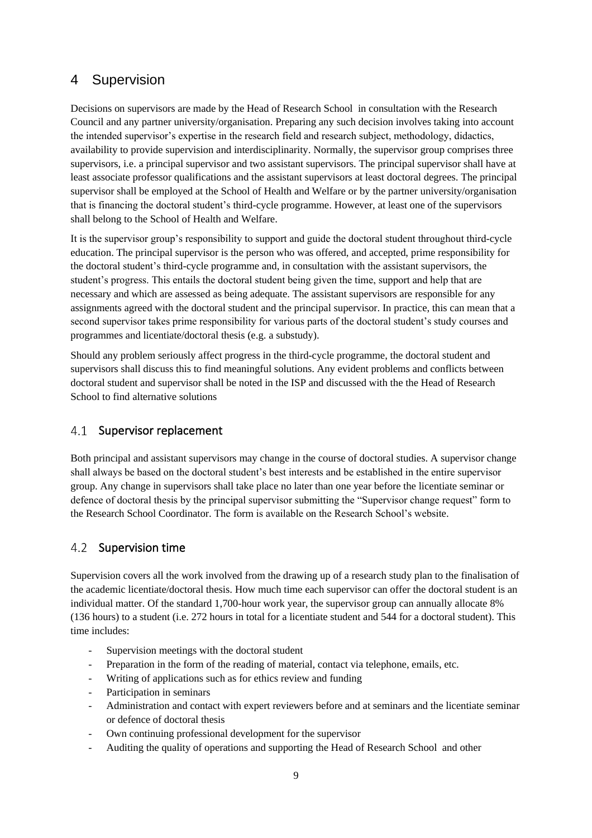## <span id="page-8-0"></span>4 Supervision

Decisions on supervisors are made by the Head of Research School in consultation with the Research Council and any partner university/organisation. Preparing any such decision involves taking into account the intended supervisor's expertise in the research field and research subject, methodology, didactics, availability to provide supervision and interdisciplinarity. Normally, the supervisor group comprises three supervisors, i.e. a principal supervisor and two assistant supervisors. The principal supervisor shall have at least associate professor qualifications and the assistant supervisors at least doctoral degrees. The principal supervisor shall be employed at the School of Health and Welfare or by the partner university/organisation that is financing the doctoral student's third-cycle programme. However, at least one of the supervisors shall belong to the School of Health and Welfare.

It is the supervisor group's responsibility to support and guide the doctoral student throughout third-cycle education. The principal supervisor is the person who was offered, and accepted, prime responsibility for the doctoral student's third-cycle programme and, in consultation with the assistant supervisors, the student's progress. This entails the doctoral student being given the time, support and help that are necessary and which are assessed as being adequate. The assistant supervisors are responsible for any assignments agreed with the doctoral student and the principal supervisor. In practice, this can mean that a second supervisor takes prime responsibility for various parts of the doctoral student's study courses and programmes and licentiate/doctoral thesis (e.g. a substudy).

Should any problem seriously affect progress in the third-cycle programme, the doctoral student and supervisors shall discuss this to find meaningful solutions. Any evident problems and conflicts between doctoral student and supervisor shall be noted in the ISP and discussed with the the Head of Research School to find alternative solutions

#### $4.1$ Supervisor replacement

Both principal and assistant supervisors may change in the course of doctoral studies. A supervisor change shall always be based on the doctoral student's best interests and be established in the entire supervisor group. Any change in supervisors shall take place no later than one year before the licentiate seminar or defence of doctoral thesis by the principal supervisor submitting the "Supervisor change request" form to the Research School Coordinator. The form is available on the Research School's website.

#### $4.2$ Supervision time

Supervision covers all the work involved from the drawing up of a research study plan to the finalisation of the academic licentiate/doctoral thesis. How much time each supervisor can offer the doctoral student is an individual matter. Of the standard 1,700-hour work year, the supervisor group can annually allocate 8% (136 hours) to a student (i.e. 272 hours in total for a licentiate student and 544 for a doctoral student). This time includes:

- Supervision meetings with the doctoral student
- Preparation in the form of the reading of material, contact via telephone, emails, etc.
- Writing of applications such as for ethics review and funding
- Participation in seminars
- Administration and contact with expert reviewers before and at seminars and the licentiate seminar or defence of doctoral thesis
- Own continuing professional development for the supervisor
- Auditing the quality of operations and supporting the Head of Research School and other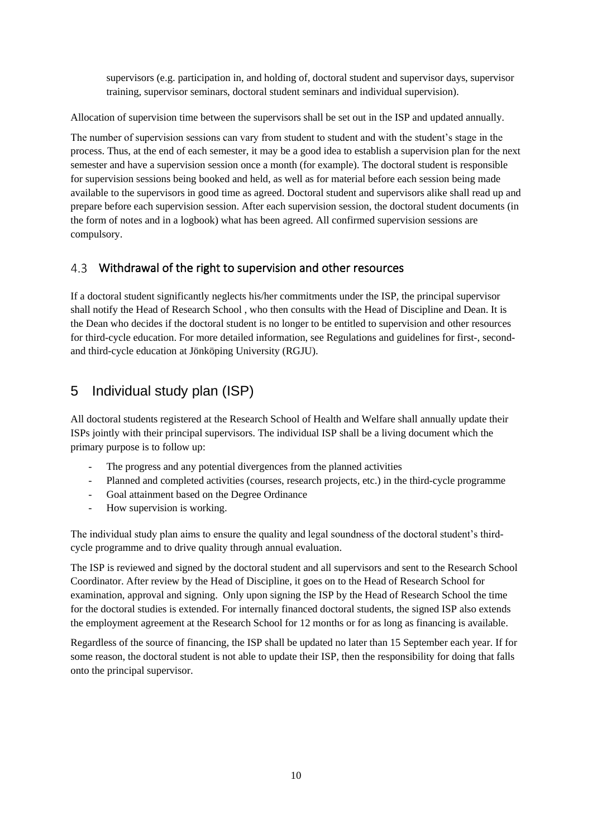supervisors (e.g. participation in, and holding of, doctoral student and supervisor days, supervisor training, supervisor seminars, doctoral student seminars and individual supervision).

Allocation of supervision time between the supervisors shall be set out in the ISP and updated annually.

The number of supervision sessions can vary from student to student and with the student's stage in the process. Thus, at the end of each semester, it may be a good idea to establish a supervision plan for the next semester and have a supervision session once a month (for example). The doctoral student is responsible for supervision sessions being booked and held, as well as for material before each session being made available to the supervisors in good time as agreed. Doctoral student and supervisors alike shall read up and prepare before each supervision session. After each supervision session, the doctoral student documents (in the form of notes and in a logbook) what has been agreed. All confirmed supervision sessions are compulsory.

#### $4.3$ Withdrawal of the right to supervision and other resources

If a doctoral student significantly neglects his/her commitments under the ISP, the principal supervisor shall notify the Head of Research School , who then consults with the Head of Discipline and Dean. It is the Dean who decides if the doctoral student is no longer to be entitled to supervision and other resources for third-cycle education. For more detailed information, see Regulations and guidelines for first-, secondand third-cycle education at Jönköping University (RGJU).

## <span id="page-9-0"></span>5 Individual study plan (ISP)

All doctoral students registered at the Research School of Health and Welfare shall annually update their ISPs jointly with their principal supervisors. The individual ISP shall be a living document which the primary purpose is to follow up:

- The progress and any potential divergences from the planned activities
- Planned and completed activities (courses, research projects, etc.) in the third-cycle programme
- Goal attainment based on the Degree Ordinance
- How supervision is working.

The individual study plan aims to ensure the quality and legal soundness of the doctoral student's thirdcycle programme and to drive quality through annual evaluation.

The ISP is reviewed and signed by the doctoral student and all supervisors and sent to the Research School Coordinator. After review by the Head of Discipline, it goes on to the Head of Research School for examination, approval and signing. Only upon signing the ISP by the Head of Research School the time for the doctoral studies is extended. For internally financed doctoral students, the signed ISP also extends the employment agreement at the Research School for 12 months or for as long as financing is available.

Regardless of the source of financing, the ISP shall be updated no later than 15 September each year. If for some reason, the doctoral student is not able to update their ISP, then the responsibility for doing that falls onto the principal supervisor.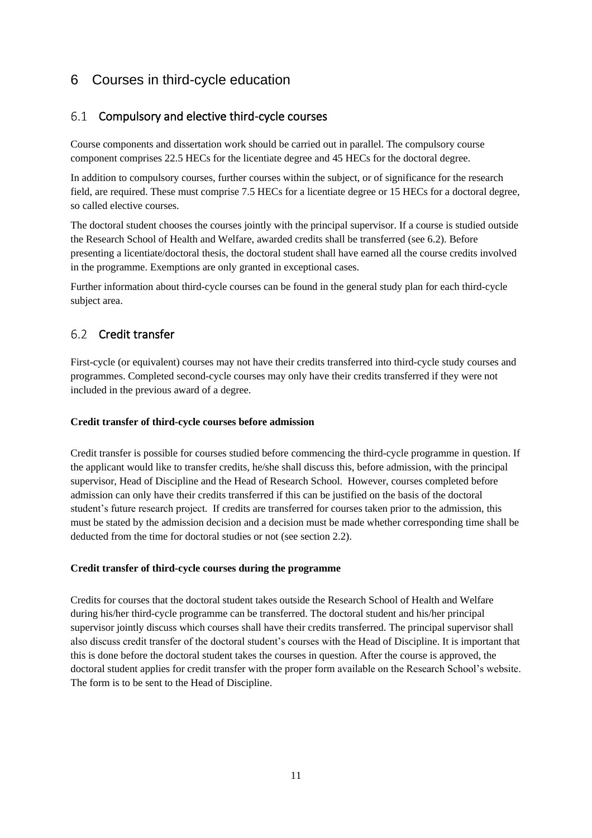## <span id="page-10-0"></span>6 Courses in third-cycle education

## 6.1 Compulsory and elective third-cycle courses

Course components and dissertation work should be carried out in parallel. The compulsory course component comprises 22.5 HECs for the licentiate degree and 45 HECs for the doctoral degree.

In addition to compulsory courses, further courses within the subject, or of significance for the research field, are required. These must comprise 7.5 HECs for a licentiate degree or 15 HECs for a doctoral degree, so called elective courses.

The doctoral student chooses the courses jointly with the principal supervisor. If a course is studied outside the Research School of Health and Welfare, awarded credits shall be transferred (see 6.2). Before presenting a licentiate/doctoral thesis, the doctoral student shall have earned all the course credits involved in the programme. Exemptions are only granted in exceptional cases.

Further information about third-cycle courses can be found in the general study plan for each third-cycle subject area.

## 6.2 Credit transfer

First-cycle (or equivalent) courses may not have their credits transferred into third-cycle study courses and programmes. Completed second-cycle courses may only have their credits transferred if they were not included in the previous award of a degree.

#### <span id="page-10-1"></span>**Credit transfer of third-cycle courses before admission**

Credit transfer is possible for courses studied before commencing the third-cycle programme in question. If the applicant would like to transfer credits, he/she shall discuss this, before admission, with the principal supervisor, Head of Discipline and the Head of Research School. However, courses completed before admission can only have their credits transferred if this can be justified on the basis of the doctoral student's future research project. If credits are transferred for courses taken prior to the admission, this must be stated by the admission decision and a decision must be made whether corresponding time shall be deducted from the time for doctoral studies or not (see section 2.2).

#### <span id="page-10-2"></span>**Credit transfer of third-cycle courses during the programme**

Credits for courses that the doctoral student takes outside the Research School of Health and Welfare during his/her third-cycle programme can be transferred. The doctoral student and his/her principal supervisor jointly discuss which courses shall have their credits transferred. The principal supervisor shall also discuss credit transfer of the doctoral student's courses with the Head of Discipline. It is important that this is done before the doctoral student takes the courses in question. After the course is approved, the doctoral student applies for credit transfer with the proper form available on the Research School's website. The form is to be sent to the Head of Discipline.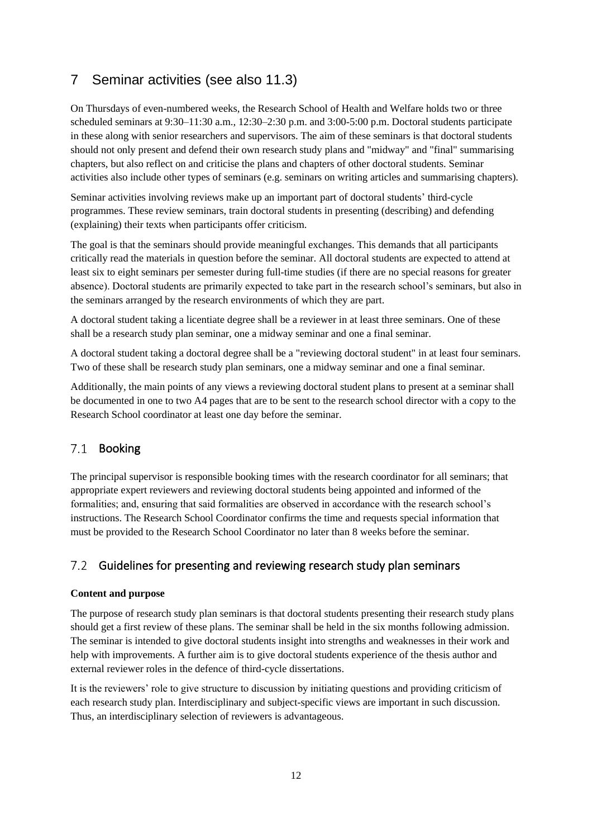## <span id="page-11-0"></span>7 Seminar activities (see also 11.3)

On Thursdays of even-numbered weeks, the Research School of Health and Welfare holds two or three scheduled seminars at 9:30–11:30 a.m., 12:30–2:30 p.m. and 3:00-5:00 p.m. Doctoral students participate in these along with senior researchers and supervisors. The aim of these seminars is that doctoral students should not only present and defend their own research study plans and "midway" and "final" summarising chapters, but also reflect on and criticise the plans and chapters of other doctoral students. Seminar activities also include other types of seminars (e.g. seminars on writing articles and summarising chapters).

Seminar activities involving reviews make up an important part of doctoral students' third-cycle programmes. These review seminars, train doctoral students in presenting (describing) and defending (explaining) their texts when participants offer criticism.

The goal is that the seminars should provide meaningful exchanges. This demands that all participants critically read the materials in question before the seminar. All doctoral students are expected to attend at least six to eight seminars per semester during full-time studies (if there are no special reasons for greater absence). Doctoral students are primarily expected to take part in the research school's seminars, but also in the seminars arranged by the research environments of which they are part.

A doctoral student taking a licentiate degree shall be a reviewer in at least three seminars. One of these shall be a research study plan seminar, one a midway seminar and one a final seminar.

A doctoral student taking a doctoral degree shall be a "reviewing doctoral student" in at least four seminars. Two of these shall be research study plan seminars, one a midway seminar and one a final seminar.

Additionally, the main points of any views a reviewing doctoral student plans to present at a seminar shall be documented in one to two A4 pages that are to be sent to the research school director with a copy to the Research School coordinator at least one day before the seminar.

#### $7.1$ Booking

The principal supervisor is responsible booking times with the research coordinator for all seminars; that appropriate expert reviewers and reviewing doctoral students being appointed and informed of the formalities; and, ensuring that said formalities are observed in accordance with the research school's instructions. The Research School Coordinator confirms the time and requests special information that must be provided to the Research School Coordinator no later than 8 weeks before the seminar.

#### $7.2$ Guidelines for presenting and reviewing research study plan seminars

#### **Content and purpose**

The purpose of research study plan seminars is that doctoral students presenting their research study plans should get a first review of these plans. The seminar shall be held in the six months following admission. The seminar is intended to give doctoral students insight into strengths and weaknesses in their work and help with improvements. A further aim is to give doctoral students experience of the thesis author and external reviewer roles in the defence of third-cycle dissertations.

It is the reviewers' role to give structure to discussion by initiating questions and providing criticism of each research study plan. Interdisciplinary and subject-specific views are important in such discussion. Thus, an interdisciplinary selection of reviewers is advantageous.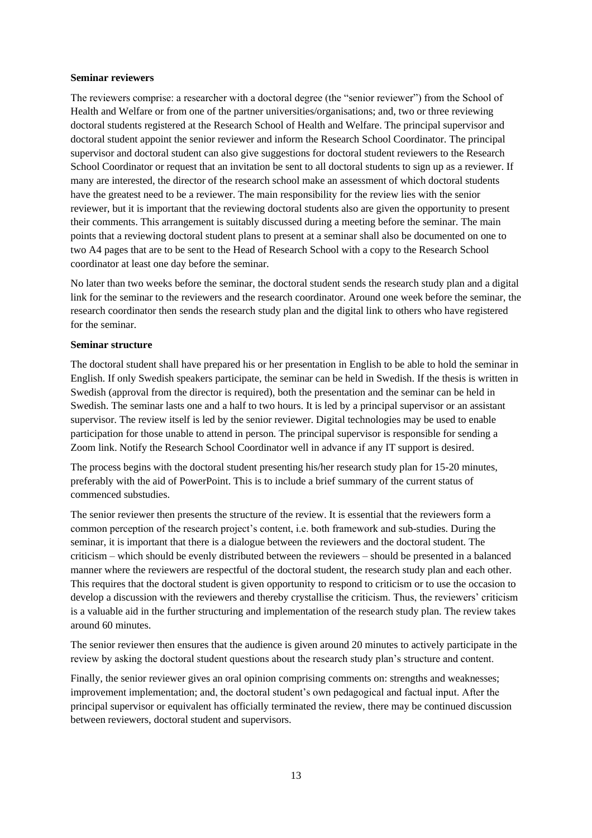#### **Seminar reviewers**

The reviewers comprise: a researcher with a doctoral degree (the "senior reviewer") from the School of Health and Welfare or from one of the partner universities/organisations; and, two or three reviewing doctoral students registered at the Research School of Health and Welfare. The principal supervisor and doctoral student appoint the senior reviewer and inform the Research School Coordinator. The principal supervisor and doctoral student can also give suggestions for doctoral student reviewers to the Research School Coordinator or request that an invitation be sent to all doctoral students to sign up as a reviewer. If many are interested, the director of the research school make an assessment of which doctoral students have the greatest need to be a reviewer. The main responsibility for the review lies with the senior reviewer, but it is important that the reviewing doctoral students also are given the opportunity to present their comments. This arrangement is suitably discussed during a meeting before the seminar. The main points that a reviewing doctoral student plans to present at a seminar shall also be documented on one to two A4 pages that are to be sent to the Head of Research School with a copy to the Research School coordinator at least one day before the seminar.

No later than two weeks before the seminar, the doctoral student sends the research study plan and a digital link for the seminar to the reviewers and the research coordinator. Around one week before the seminar, the research coordinator then sends the research study plan and the digital link to others who have registered for the seminar.

#### **Seminar structure**

The doctoral student shall have prepared his or her presentation in English to be able to hold the seminar in English. If only Swedish speakers participate, the seminar can be held in Swedish. If the thesis is written in Swedish (approval from the director is required), both the presentation and the seminar can be held in Swedish. The seminar lasts one and a half to two hours. It is led by a principal supervisor or an assistant supervisor. The review itself is led by the senior reviewer. Digital technologies may be used to enable participation for those unable to attend in person. The principal supervisor is responsible for sending a Zoom link. Notify the Research School Coordinator well in advance if any IT support is desired.

The process begins with the doctoral student presenting his/her research study plan for 15-20 minutes, preferably with the aid of PowerPoint. This is to include a brief summary of the current status of commenced substudies.

The senior reviewer then presents the structure of the review. It is essential that the reviewers form a common perception of the research project's content, i.e. both framework and sub-studies. During the seminar, it is important that there is a dialogue between the reviewers and the doctoral student. The criticism – which should be evenly distributed between the reviewers – should be presented in a balanced manner where the reviewers are respectful of the doctoral student, the research study plan and each other. This requires that the doctoral student is given opportunity to respond to criticism or to use the occasion to develop a discussion with the reviewers and thereby crystallise the criticism. Thus, the reviewers' criticism is a valuable aid in the further structuring and implementation of the research study plan. The review takes around 60 minutes.

The senior reviewer then ensures that the audience is given around 20 minutes to actively participate in the review by asking the doctoral student questions about the research study plan's structure and content.

Finally, the senior reviewer gives an oral opinion comprising comments on: strengths and weaknesses; improvement implementation; and, the doctoral student's own pedagogical and factual input. After the principal supervisor or equivalent has officially terminated the review, there may be continued discussion between reviewers, doctoral student and supervisors.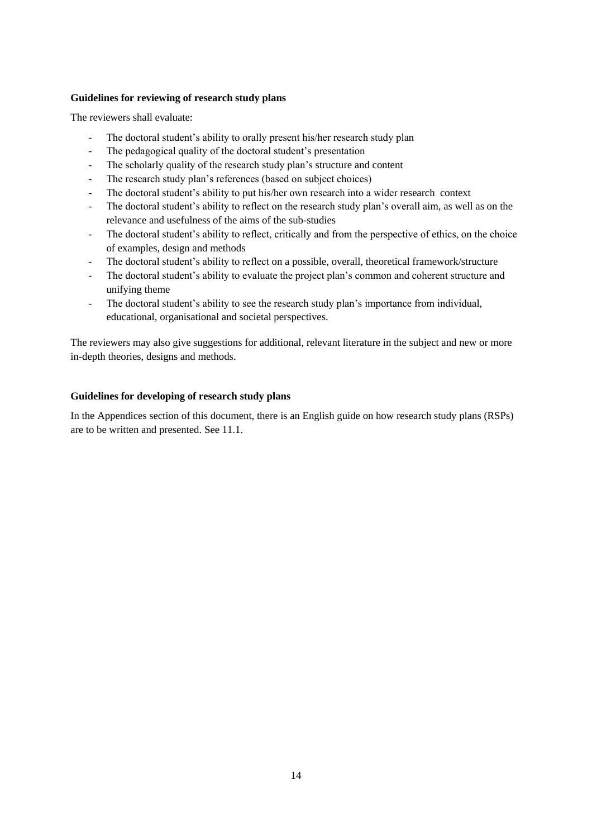#### **Guidelines for reviewing of research study plans**

The reviewers shall evaluate:

- The doctoral student's ability to orally present his/her research study plan
- The pedagogical quality of the doctoral student's presentation
- The scholarly quality of the research study plan's structure and content
- The research study plan's references (based on subject choices)
- The doctoral student's ability to put his/her own research into a wider research context
- The doctoral student's ability to reflect on the research study plan's overall aim, as well as on the relevance and usefulness of the aims of the sub-studies
- The doctoral student's ability to reflect, critically and from the perspective of ethics, on the choice of examples, design and methods
- The doctoral student's ability to reflect on a possible, overall, theoretical framework/structure
- The doctoral student's ability to evaluate the project plan's common and coherent structure and unifying theme
- The doctoral student's ability to see the research study plan's importance from individual, educational, organisational and societal perspectives.

The reviewers may also give suggestions for additional, relevant literature in the subject and new or more in-depth theories, designs and methods.

#### **Guidelines for developing of research study plans**

In the Appendices section of this document, there is an English guide on how research study plans (RSPs) are to be written and presented. See 11.1.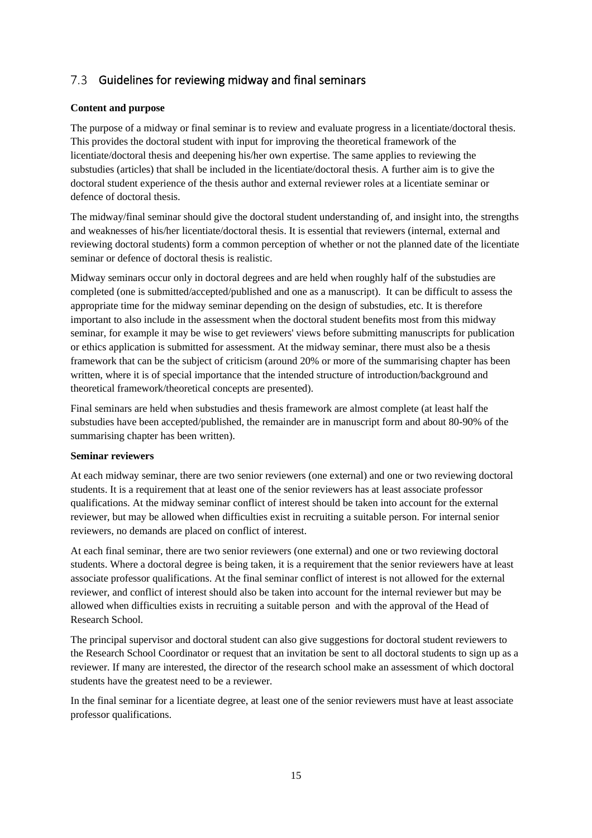#### $7.3$ Guidelines for reviewing midway and final seminars

### **Content and purpose**

The purpose of a midway or final seminar is to review and evaluate progress in a licentiate/doctoral thesis. This provides the doctoral student with input for improving the theoretical framework of the licentiate/doctoral thesis and deepening his/her own expertise. The same applies to reviewing the substudies (articles) that shall be included in the licentiate/doctoral thesis. A further aim is to give the doctoral student experience of the thesis author and external reviewer roles at a licentiate seminar or defence of doctoral thesis.

The midway/final seminar should give the doctoral student understanding of, and insight into, the strengths and weaknesses of his/her licentiate/doctoral thesis. It is essential that reviewers (internal, external and reviewing doctoral students) form a common perception of whether or not the planned date of the licentiate seminar or defence of doctoral thesis is realistic.

Midway seminars occur only in doctoral degrees and are held when roughly half of the substudies are completed (one is submitted/accepted/published and one as a manuscript). It can be difficult to assess the appropriate time for the midway seminar depending on the design of substudies, etc. It is therefore important to also include in the assessment when the doctoral student benefits most from this midway seminar, for example it may be wise to get reviewers' views before submitting manuscripts for publication or ethics application is submitted for assessment. At the midway seminar, there must also be a thesis framework that can be the subject of criticism (around 20% or more of the summarising chapter has been written, where it is of special importance that the intended structure of introduction/background and theoretical framework/theoretical concepts are presented).

Final seminars are held when substudies and thesis framework are almost complete (at least half the substudies have been accepted/published, the remainder are in manuscript form and about 80-90% of the summarising chapter has been written).

#### **Seminar reviewers**

At each midway seminar, there are two senior reviewers (one external) and one or two reviewing doctoral students. It is a requirement that at least one of the senior reviewers has at least associate professor qualifications. At the midway seminar conflict of interest should be taken into account for the external reviewer, but may be allowed when difficulties exist in recruiting a suitable person. For internal senior reviewers, no demands are placed on conflict of interest.

At each final seminar, there are two senior reviewers (one external) and one or two reviewing doctoral students. Where a doctoral degree is being taken, it is a requirement that the senior reviewers have at least associate professor qualifications. At the final seminar conflict of interest is not allowed for the external reviewer, and conflict of interest should also be taken into account for the internal reviewer but may be allowed when difficulties exists in recruiting a suitable person and with the approval of the Head of Research School.

The principal supervisor and doctoral student can also give suggestions for doctoral student reviewers to the Research School Coordinator or request that an invitation be sent to all doctoral students to sign up as a reviewer. If many are interested, the director of the research school make an assessment of which doctoral students have the greatest need to be a reviewer.

In the final seminar for a licentiate degree, at least one of the senior reviewers must have at least associate professor qualifications.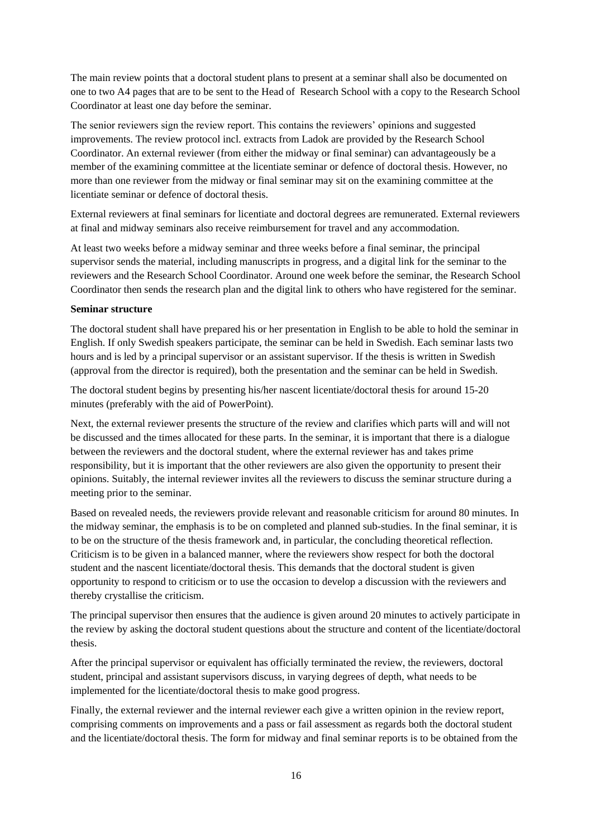The main review points that a doctoral student plans to present at a seminar shall also be documented on one to two A4 pages that are to be sent to the Head of Research School with a copy to the Research School Coordinator at least one day before the seminar.

The senior reviewers sign the review report. This contains the reviewers' opinions and suggested improvements. The review protocol incl. extracts from Ladok are provided by the Research School Coordinator. An external reviewer (from either the midway or final seminar) can advantageously be a member of the examining committee at the licentiate seminar or defence of doctoral thesis. However, no more than one reviewer from the midway or final seminar may sit on the examining committee at the licentiate seminar or defence of doctoral thesis.

External reviewers at final seminars for licentiate and doctoral degrees are remunerated. External reviewers at final and midway seminars also receive reimbursement for travel and any accommodation.

At least two weeks before a midway seminar and three weeks before a final seminar, the principal supervisor sends the material, including manuscripts in progress, and a digital link for the seminar to the reviewers and the Research School Coordinator. Around one week before the seminar, the Research School Coordinator then sends the research plan and the digital link to others who have registered for the seminar.

#### **Seminar structure**

The doctoral student shall have prepared his or her presentation in English to be able to hold the seminar in English. If only Swedish speakers participate, the seminar can be held in Swedish. Each seminar lasts two hours and is led by a principal supervisor or an assistant supervisor. If the thesis is written in Swedish (approval from the director is required), both the presentation and the seminar can be held in Swedish.

The doctoral student begins by presenting his/her nascent licentiate/doctoral thesis for around 15-20 minutes (preferably with the aid of PowerPoint).

Next, the external reviewer presents the structure of the review and clarifies which parts will and will not be discussed and the times allocated for these parts. In the seminar, it is important that there is a dialogue between the reviewers and the doctoral student, where the external reviewer has and takes prime responsibility, but it is important that the other reviewers are also given the opportunity to present their opinions. Suitably, the internal reviewer invites all the reviewers to discuss the seminar structure during a meeting prior to the seminar.

Based on revealed needs, the reviewers provide relevant and reasonable criticism for around 80 minutes. In the midway seminar, the emphasis is to be on completed and planned sub-studies. In the final seminar, it is to be on the structure of the thesis framework and, in particular, the concluding theoretical reflection. Criticism is to be given in a balanced manner, where the reviewers show respect for both the doctoral student and the nascent licentiate/doctoral thesis. This demands that the doctoral student is given opportunity to respond to criticism or to use the occasion to develop a discussion with the reviewers and thereby crystallise the criticism.

The principal supervisor then ensures that the audience is given around 20 minutes to actively participate in the review by asking the doctoral student questions about the structure and content of the licentiate/doctoral thesis.

After the principal supervisor or equivalent has officially terminated the review, the reviewers, doctoral student, principal and assistant supervisors discuss, in varying degrees of depth, what needs to be implemented for the licentiate/doctoral thesis to make good progress.

Finally, the external reviewer and the internal reviewer each give a written opinion in the review report, comprising comments on improvements and a pass or fail assessment as regards both the doctoral student and the licentiate/doctoral thesis. The form for midway and final seminar reports is to be obtained from the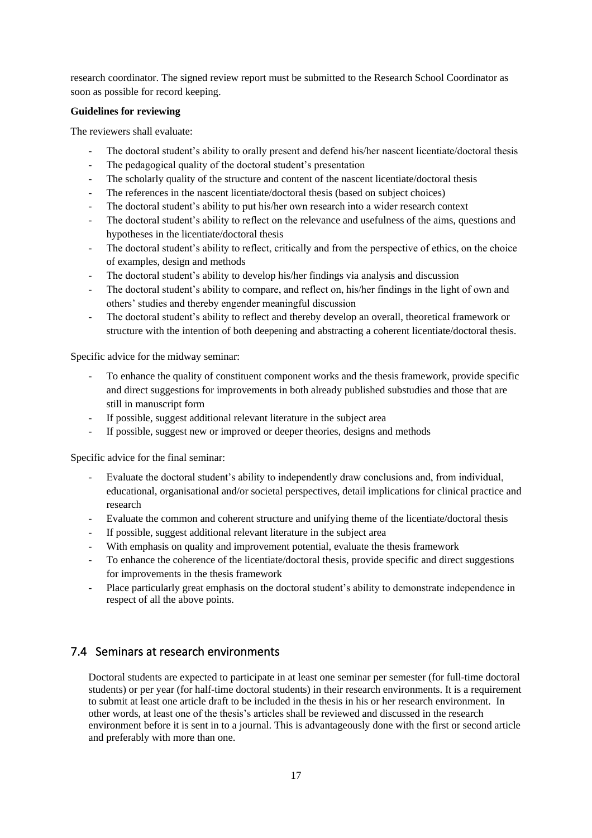research coordinator. The signed review report must be submitted to the Research School Coordinator as soon as possible for record keeping.

#### **Guidelines for reviewing**

The reviewers shall evaluate:

- The doctoral student's ability to orally present and defend his/her nascent licentiate/doctoral thesis
- The pedagogical quality of the doctoral student's presentation
- The scholarly quality of the structure and content of the nascent licentiate/doctoral thesis
- The references in the nascent licentiate/doctoral thesis (based on subject choices)
- The doctoral student's ability to put his/her own research into a wider research context
- The doctoral student's ability to reflect on the relevance and usefulness of the aims, questions and hypotheses in the licentiate/doctoral thesis
- The doctoral student's ability to reflect, critically and from the perspective of ethics, on the choice of examples, design and methods
- The doctoral student's ability to develop his/her findings via analysis and discussion
- The doctoral student's ability to compare, and reflect on, his/her findings in the light of own and others' studies and thereby engender meaningful discussion
- The doctoral student's ability to reflect and thereby develop an overall, theoretical framework or structure with the intention of both deepening and abstracting a coherent licentiate/doctoral thesis.

Specific advice for the midway seminar:

- To enhance the quality of constituent component works and the thesis framework, provide specific and direct suggestions for improvements in both already published substudies and those that are still in manuscript form
- If possible, suggest additional relevant literature in the subject area
- If possible, suggest new or improved or deeper theories, designs and methods

Specific advice for the final seminar:

- Evaluate the doctoral student's ability to independently draw conclusions and, from individual, educational, organisational and/or societal perspectives, detail implications for clinical practice and research
- Evaluate the common and coherent structure and unifying theme of the licentiate/doctoral thesis
- If possible, suggest additional relevant literature in the subject area
- With emphasis on quality and improvement potential, evaluate the thesis framework
- To enhance the coherence of the licentiate/doctoral thesis, provide specific and direct suggestions for improvements in the thesis framework
- Place particularly great emphasis on the doctoral student's ability to demonstrate independence in respect of all the above points.

## 7.4 Seminars at research environments

Doctoral students are expected to participate in at least one seminar per semester (for full-time doctoral students) or per year (for half-time doctoral students) in their research environments. It is a requirement to submit at least one article draft to be included in the thesis in his or her research environment. In other words, at least one of the thesis's articles shall be reviewed and discussed in the research environment before it is sent in to a journal. This is advantageously done with the first or second article and preferably with more than one.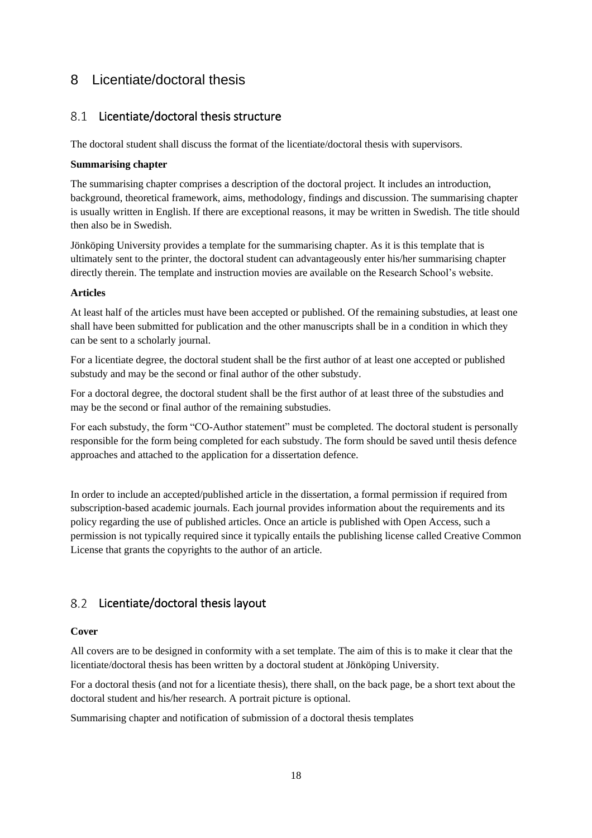## <span id="page-17-0"></span>8 Licentiate/doctoral thesis

## 8.1 Licentiate/doctoral thesis structure

The doctoral student shall discuss the format of the licentiate/doctoral thesis with supervisors.

#### **Summarising chapter**

The summarising chapter comprises a description of the doctoral project. It includes an introduction, background, theoretical framework, aims, methodology, findings and discussion. The summarising chapter is usually written in English. If there are exceptional reasons, it may be written in Swedish. The title should then also be in Swedish.

Jönköping University provides a template for the summarising chapter. As it is this template that is ultimately sent to the printer, the doctoral student can advantageously enter his/her summarising chapter directly therein. The template and instruction movies are available on th[e Research School's website.](https://ju.se/forskning/forskarutbildning/forskarskolan-halsa-och-valfard.html)

#### **Articles**

At least half of the articles must have been accepted or published. Of the remaining substudies, at least one shall have been submitted for publication and the other manuscripts shall be in a condition in which they can be sent to a scholarly journal.

For a licentiate degree, the doctoral student shall be the first author of at least one accepted or published substudy and may be the second or final author of the other substudy.

For a doctoral degree, the doctoral student shall be the first author of at least three of the substudies and may be the second or final author of the remaining substudies.

For each substudy, the form "CO-Author statement" must be completed. The doctoral student is personally responsible for the form being completed for each substudy. The form should be saved until thesis defence approaches and attached to the application for a dissertation defence.

In order to include an accepted/published article in the dissertation, a formal permission if required from subscription-based academic journals. Each journal provides information about the requirements and its policy regarding the use of published articles. Once an article is published with Open Access, such a permission is not typically required since it typically entails the publishing license called Creative Common License that grants the copyrights to the author of an article.

## 8.2 Licentiate/doctoral thesis layout

#### **Cover**

All covers are to be designed in conformity with a set template. The aim of this is to make it clear that the licentiate/doctoral thesis has been written by a doctoral student at Jönköping University.

For a doctoral thesis (and not for a licentiate thesis), there shall, on the back page, be a short text about the doctoral student and his/her research. A portrait picture is optional.

Summarising chapter and notification of submission of a doctoral thesis templates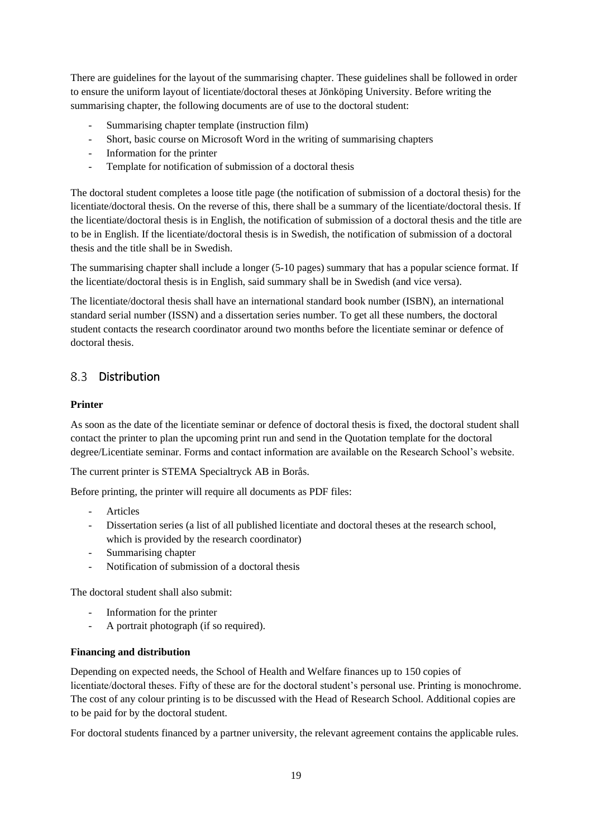There are guidelines for the layout of the summarising chapter. These guidelines shall be followed in order to ensure the uniform layout of licentiate/doctoral theses at Jönköping University. Before writing the summarising chapter, the following documents are of use to the doctoral student:

- Summarising chapter template (instruction film)
- Short, basic course on Microsoft Word in the writing of summarising chapters
- Information for the printer
- Template for notification of submission of a doctoral thesis

The doctoral student completes a loose title page (the notification of submission of a doctoral thesis) for the licentiate/doctoral thesis. On the reverse of this, there shall be a summary of the licentiate/doctoral thesis. If the licentiate/doctoral thesis is in English, the notification of submission of a doctoral thesis and the title are to be in English. If the licentiate/doctoral thesis is in Swedish, the notification of submission of a doctoral thesis and the title shall be in Swedish.

The summarising chapter shall include a longer (5-10 pages) summary that has a popular science format. If the licentiate/doctoral thesis is in English, said summary shall be in Swedish (and vice versa).

The licentiate/doctoral thesis shall have an international standard book number (ISBN), an international standard serial number (ISSN) and a dissertation series number. To get all these numbers, the doctoral student contacts the research coordinator around two months before the licentiate seminar or defence of doctoral thesis.

## 8.3 Distribution

### **Printer**

As soon as the date of the licentiate seminar or defence of doctoral thesis is fixed, the doctoral student shall contact the printer to plan the upcoming print run and send in the Quotation template for the doctoral degree/Licentiate seminar. Forms and contact information are available on the Research School's website.

The current printer is STEMA Specialtryck AB in Borås.

Before printing, the printer will require all documents as PDF files:

- Articles
- Dissertation series (a list of all published licentiate and doctoral theses at the research school, which is provided by the research coordinator)
- Summarising chapter
- Notification of submission of a doctoral thesis

The doctoral student shall also submit:

- Information for the printer
- A portrait photograph (if so required).

#### **Financing and distribution**

Depending on expected needs, the School of Health and Welfare finances up to 150 copies of licentiate/doctoral theses. Fifty of these are for the doctoral student's personal use. Printing is monochrome. The cost of any colour printing is to be discussed with the Head of Research School. Additional copies are to be paid for by the doctoral student.

For doctoral students financed by a partner university, the relevant agreement contains the applicable rules.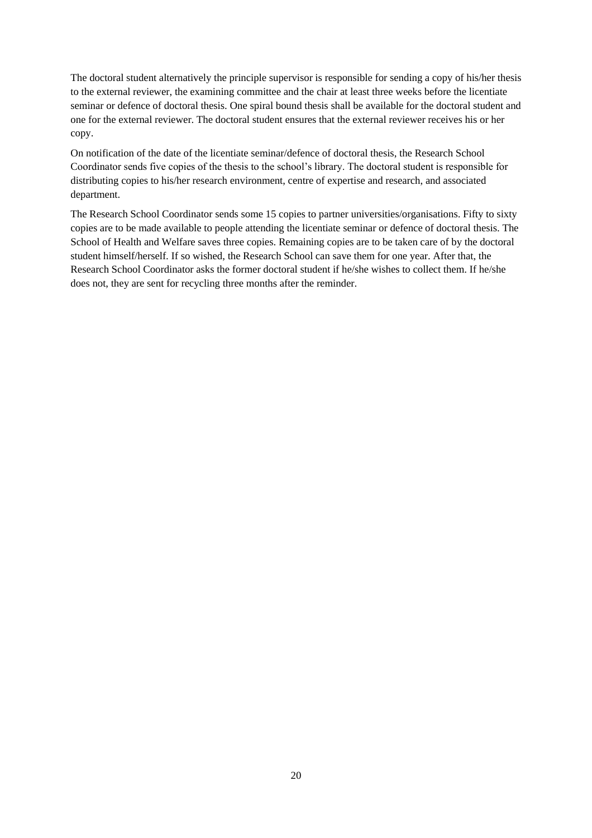The doctoral student alternatively the principle supervisor is responsible for sending a copy of his/her thesis to the external reviewer, the examining committee and the chair at least three weeks before the licentiate seminar or defence of doctoral thesis. One spiral bound thesis shall be available for the doctoral student and one for the external reviewer. The doctoral student ensures that the external reviewer receives his or her copy.

On notification of the date of the licentiate seminar/defence of doctoral thesis, the Research School Coordinator sends five copies of the thesis to the school's library. The doctoral student is responsible for distributing copies to his/her research environment, centre of expertise and research, and associated department.

The Research School Coordinator sends some 15 copies to partner universities/organisations. Fifty to sixty copies are to be made available to people attending the licentiate seminar or defence of doctoral thesis. The School of Health and Welfare saves three copies. Remaining copies are to be taken care of by the doctoral student himself/herself. If so wished, the Research School can save them for one year. After that, the Research School Coordinator asks the former doctoral student if he/she wishes to collect them. If he/she does not, they are sent for recycling three months after the reminder.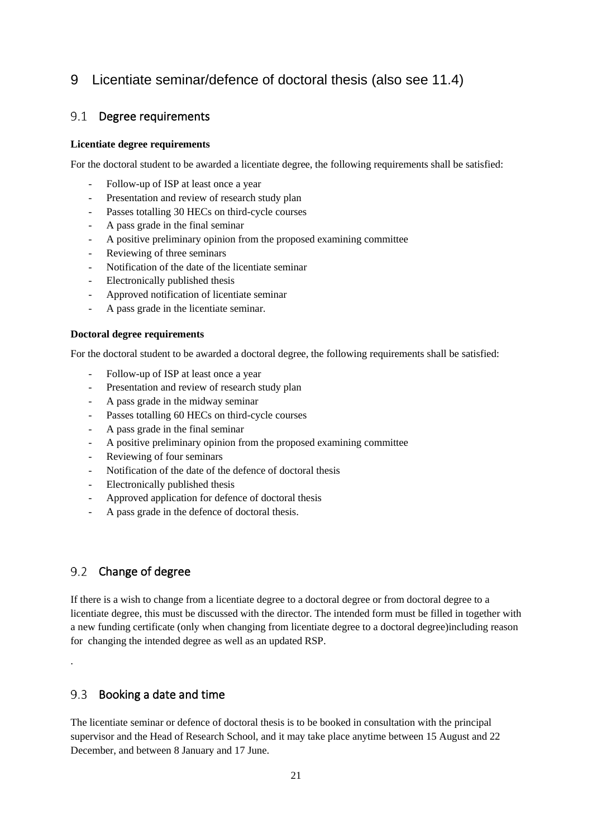## <span id="page-20-0"></span>9 Licentiate seminar/defence of doctoral thesis (also see 11.4)

## 9.1 Degree requirements

#### **Licentiate degree requirements**

For the doctoral student to be awarded a licentiate degree, the following requirements shall be satisfied:

- Follow-up of ISP at least once a year
- Presentation and review of research study plan
- Passes totalling 30 HECs on third-cycle courses
- A pass grade in the final seminar
- A positive preliminary opinion from the proposed examining committee
- Reviewing of three seminars
- Notification of the date of the licentiate seminar
- Electronically published thesis
- Approved notification of licentiate seminar
- A pass grade in the licentiate seminar.

#### **Doctoral degree requirements**

For the doctoral student to be awarded a doctoral degree, the following requirements shall be satisfied:

- Follow-up of ISP at least once a year
- Presentation and review of research study plan
- A pass grade in the midway seminar
- Passes totalling 60 HECs on third-cycle courses
- A pass grade in the final seminar
- A positive preliminary opinion from the proposed examining committee
- Reviewing of four seminars
- Notification of the date of the defence of doctoral thesis
- Electronically published thesis
- Approved application for defence of doctoral thesis
- A pass grade in the defence of doctoral thesis.

## 9.2 Change of degree

.

If there is a wish to change from a licentiate degree to a doctoral degree or from doctoral degree to a licentiate degree, this must be discussed with the director. The intended form must be filled in together with a new funding certificate (only when changing from licentiate degree to a doctoral degree)including reason for changing the intended degree as well as an updated RSP.

#### $9.3$ Booking a date and time

The licentiate seminar or defence of doctoral thesis is to be booked in consultation with the principal supervisor and the Head of Research School, and it may take place anytime between 15 August and 22 December, and between 8 January and 17 June.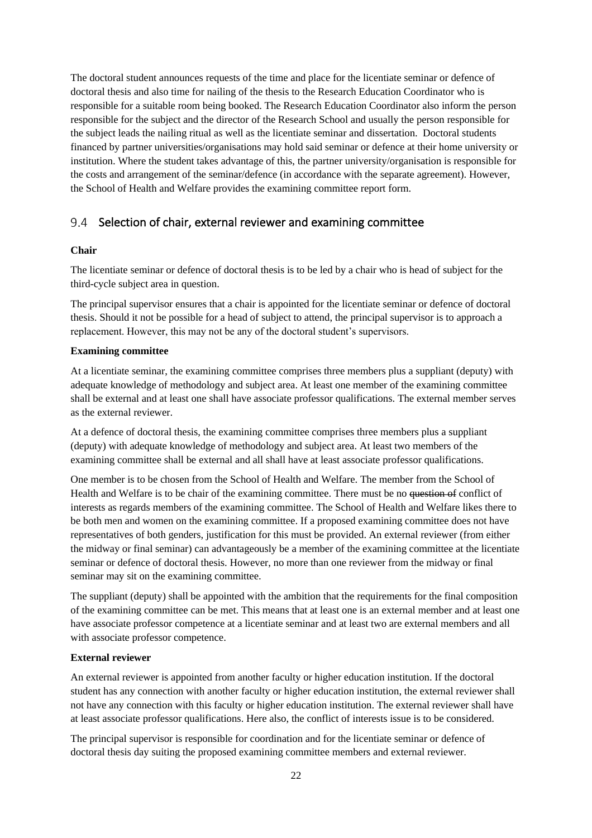The doctoral student announces requests of the time and place for the licentiate seminar or defence of doctoral thesis and also time for nailing of the thesis to the Research Education Coordinator who is responsible for a suitable room being booked. The Research Education Coordinator also inform the person responsible for the subject and the director of the Research School and usually the person responsible for the subject leads the nailing ritual as well as the licentiate seminar and dissertation. Doctoral students financed by partner universities/organisations may hold said seminar or defence at their home university or institution. Where the student takes advantage of this, the partner university/organisation is responsible for the costs and arrangement of the seminar/defence (in accordance with the separate agreement). However, the School of Health and Welfare provides the examining committee report form.

### 9.4 Selection of chair, external reviewer and examining committee

#### **Chair**

The licentiate seminar or defence of doctoral thesis is to be led by a chair who is head of subject for the third-cycle subject area in question.

The principal supervisor ensures that a chair is appointed for the licentiate seminar or defence of doctoral thesis. Should it not be possible for a head of subject to attend, the principal supervisor is to approach a replacement. However, this may not be any of the doctoral student's supervisors.

#### **Examining committee**

At a licentiate seminar, the examining committee comprises three members plus a suppliant (deputy) with adequate knowledge of methodology and subject area. At least one member of the examining committee shall be external and at least one shall have associate professor qualifications. The external member serves as the external reviewer.

At a defence of doctoral thesis, the examining committee comprises three members plus a suppliant (deputy) with adequate knowledge of methodology and subject area. At least two members of the examining committee shall be external and all shall have at least associate professor qualifications.

One member is to be chosen from the School of Health and Welfare. The member from the School of Health and Welfare is to be chair of the examining committee. There must be no question of conflict of interests as regards members of the examining committee. The School of Health and Welfare likes there to be both men and women on the examining committee. If a proposed examining committee does not have representatives of both genders, justification for this must be provided. An external reviewer (from either the midway or final seminar) can advantageously be a member of the examining committee at the licentiate seminar or defence of doctoral thesis. However, no more than one reviewer from the midway or final seminar may sit on the examining committee.

The suppliant (deputy) shall be appointed with the ambition that the requirements for the final composition of the examining committee can be met. This means that at least one is an external member and at least one have associate professor competence at a licentiate seminar and at least two are external members and all with associate professor competence.

#### **External reviewer**

An external reviewer is appointed from another faculty or higher education institution. If the doctoral student has any connection with another faculty or higher education institution, the external reviewer shall not have any connection with this faculty or higher education institution. The external reviewer shall have at least associate professor qualifications. Here also, the conflict of interests issue is to be considered.

The principal supervisor is responsible for coordination and for the licentiate seminar or defence of doctoral thesis day suiting the proposed examining committee members and external reviewer.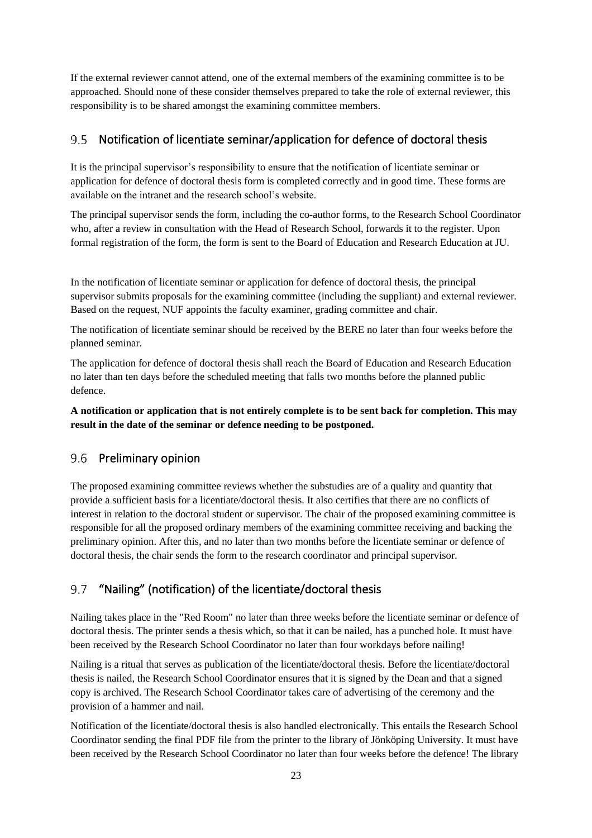If the external reviewer cannot attend, one of the external members of the examining committee is to be approached. Should none of these consider themselves prepared to take the role of external reviewer, this responsibility is to be shared amongst the examining committee members.

#### $9.5$ Notification of licentiate seminar/application for defence of doctoral thesis

It is the principal supervisor's responsibility to ensure that the notification of licentiate seminar or application for defence of doctoral thesis form is completed correctly and in good time. These forms are available on the intranet and the research school's website.

The principal supervisor sends the form, including the co-author forms, to the Research School Coordinator who, after a review in consultation with the Head of Research School, forwards it to the register. Upon formal registration of the form, the form is sent to the Board of Education and Research Education at JU.

In the notification of licentiate seminar or application for defence of doctoral thesis, the principal supervisor submits proposals for the examining committee (including the suppliant) and external reviewer. Based on the request, NUF appoints the faculty examiner, grading committee and chair.

The notification of licentiate seminar should be received by the BERE no later than four weeks before the planned seminar.

The application for defence of doctoral thesis shall reach the Board of Education and Research Education no later than ten days before the scheduled meeting that falls two months before the planned public defence.

**A notification or application that is not entirely complete is to be sent back for completion. This may result in the date of the seminar or defence needing to be postponed.**

#### 9.6 Preliminary opinion

The proposed examining committee reviews whether the substudies are of a quality and quantity that provide a sufficient basis for a licentiate/doctoral thesis. It also certifies that there are no conflicts of interest in relation to the doctoral student or supervisor. The chair of the proposed examining committee is responsible for all the proposed ordinary members of the examining committee receiving and backing the preliminary opinion. After this, and no later than two months before the licentiate seminar or defence of doctoral thesis, the chair sends the form to the research coordinator and principal supervisor.

#### "Nailing" (notification) of the licentiate/doctoral thesis 9.7

Nailing takes place in the "Red Room" no later than three weeks before the licentiate seminar or defence of doctoral thesis. The printer sends a thesis which, so that it can be nailed, has a punched hole. It must have been received by the Research School Coordinator no later than four workdays before nailing!

Nailing is a ritual that serves as publication of the licentiate/doctoral thesis. Before the licentiate/doctoral thesis is nailed, the Research School Coordinator ensures that it is signed by the Dean and that a signed copy is archived. The Research School Coordinator takes care of advertising of the ceremony and the provision of a hammer and nail.

Notification of the licentiate/doctoral thesis is also handled electronically. This entails the Research School Coordinator sending the final PDF file from the printer to the library of Jönköping University. It must have been received by the Research School Coordinator no later than four weeks before the defence! The library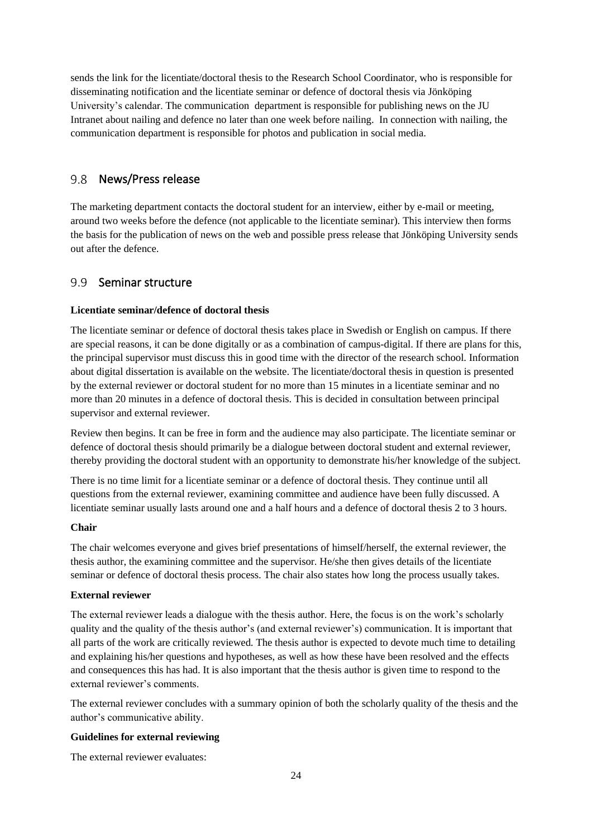sends the link for the licentiate/doctoral thesis to the Research School Coordinator, who is responsible for disseminating notification and the licentiate seminar or defence of doctoral thesis via Jönköping University's calendar. The communication department is responsible for publishing news on the JU Intranet about nailing and defence no later than one week before nailing. In connection with nailing, the communication department is responsible for photos and publication in social media.

#### $9.8$ News/Press release

The marketing department contacts the doctoral student for an interview, either by e-mail or meeting, around two weeks before the defence (not applicable to the licentiate seminar). This interview then forms the basis for the publication of news on the web and possible press release that Jönköping University sends out after the defence.

#### $9.9$ Seminar structure

#### **Licentiate seminar/defence of doctoral thesis**

The licentiate seminar or defence of doctoral thesis takes place in Swedish or English on campus. If there are special reasons, it can be done digitally or as a combination of campus-digital. If there are plans for this, the principal supervisor must discuss this in good time with the director of the research school. Information about digital dissertation is available on the website. The licentiate/doctoral thesis in question is presented by the external reviewer or doctoral student for no more than 15 minutes in a licentiate seminar and no more than 20 minutes in a defence of doctoral thesis. This is decided in consultation between principal supervisor and external reviewer.

Review then begins. It can be free in form and the audience may also participate. The licentiate seminar or defence of doctoral thesis should primarily be a dialogue between doctoral student and external reviewer, thereby providing the doctoral student with an opportunity to demonstrate his/her knowledge of the subject.

There is no time limit for a licentiate seminar or a defence of doctoral thesis. They continue until all questions from the external reviewer, examining committee and audience have been fully discussed. A licentiate seminar usually lasts around one and a half hours and a defence of doctoral thesis 2 to 3 hours.

#### **Chair**

The chair welcomes everyone and gives brief presentations of himself/herself, the external reviewer, the thesis author, the examining committee and the supervisor. He/she then gives details of the licentiate seminar or defence of doctoral thesis process. The chair also states how long the process usually takes.

#### **External reviewer**

The external reviewer leads a dialogue with the thesis author. Here, the focus is on the work's scholarly quality and the quality of the thesis author's (and external reviewer's) communication. It is important that all parts of the work are critically reviewed. The thesis author is expected to devote much time to detailing and explaining his/her questions and hypotheses, as well as how these have been resolved and the effects and consequences this has had. It is also important that the thesis author is given time to respond to the external reviewer's comments.

The external reviewer concludes with a summary opinion of both the scholarly quality of the thesis and the author's communicative ability.

#### **Guidelines for external reviewing**

The external reviewer evaluates: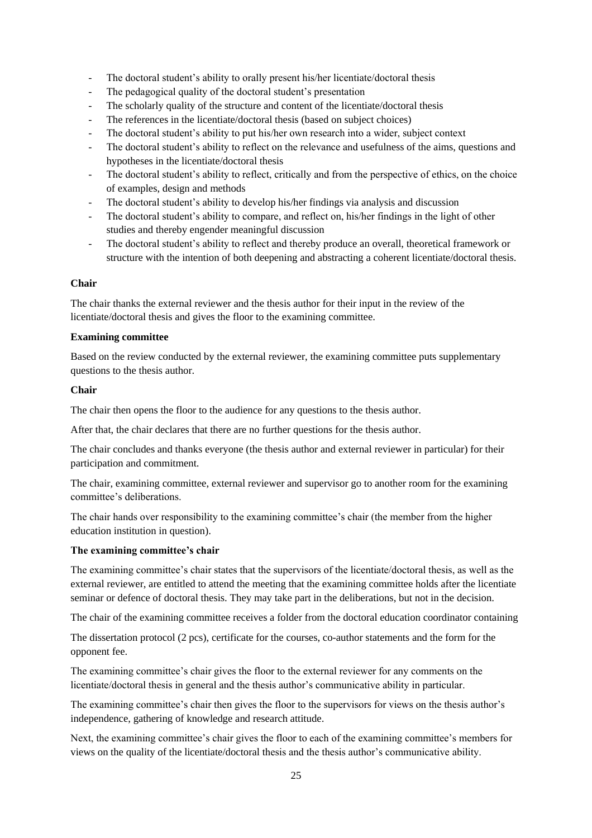- The doctoral student's ability to orally present his/her licentiate/doctoral thesis
- The pedagogical quality of the doctoral student's presentation
- The scholarly quality of the structure and content of the licentiate/doctoral thesis
- The references in the licentiate/doctoral thesis (based on subject choices)
- The doctoral student's ability to put his/her own research into a wider, subject context
- The doctoral student's ability to reflect on the relevance and usefulness of the aims, questions and hypotheses in the licentiate/doctoral thesis
- The doctoral student's ability to reflect, critically and from the perspective of ethics, on the choice of examples, design and methods
- The doctoral student's ability to develop his/her findings via analysis and discussion
- The doctoral student's ability to compare, and reflect on, his/her findings in the light of other studies and thereby engender meaningful discussion
- The doctoral student's ability to reflect and thereby produce an overall, theoretical framework or structure with the intention of both deepening and abstracting a coherent licentiate/doctoral thesis.

#### **Chair**

The chair thanks the external reviewer and the thesis author for their input in the review of the licentiate/doctoral thesis and gives the floor to the examining committee.

#### **Examining committee**

Based on the review conducted by the external reviewer, the examining committee puts supplementary questions to the thesis author.

#### **Chair**

The chair then opens the floor to the audience for any questions to the thesis author.

After that, the chair declares that there are no further questions for the thesis author.

The chair concludes and thanks everyone (the thesis author and external reviewer in particular) for their participation and commitment.

The chair, examining committee, external reviewer and supervisor go to another room for the examining committee's deliberations.

The chair hands over responsibility to the examining committee's chair (the member from the higher education institution in question).

#### **The examining committee's chair**

The examining committee's chair states that the supervisors of the licentiate/doctoral thesis, as well as the external reviewer, are entitled to attend the meeting that the examining committee holds after the licentiate seminar or defence of doctoral thesis. They may take part in the deliberations, but not in the decision.

The chair of the examining committee receives a folder from the doctoral education coordinator containing

The dissertation protocol (2 pcs), certificate for the courses, co-author statements and the form for the opponent fee.

The examining committee's chair gives the floor to the external reviewer for any comments on the licentiate/doctoral thesis in general and the thesis author's communicative ability in particular.

The examining committee's chair then gives the floor to the supervisors for views on the thesis author's independence, gathering of knowledge and research attitude.

Next, the examining committee's chair gives the floor to each of the examining committee's members for views on the quality of the licentiate/doctoral thesis and the thesis author's communicative ability.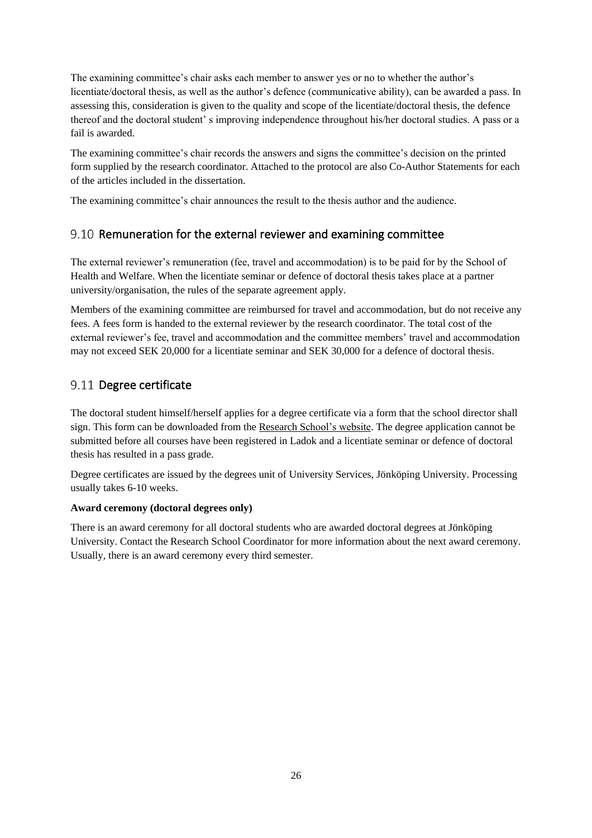The examining committee's chair asks each member to answer yes or no to whether the author's licentiate/doctoral thesis, as well as the author's defence (communicative ability), can be awarded a pass. In assessing this, consideration is given to the quality and scope of the licentiate/doctoral thesis, the defence thereof and the doctoral student' s improving independence throughout his/her doctoral studies. A pass or a fail is awarded.

The examining committee's chair records the answers and signs the committee's decision on the printed form supplied by the research coordinator. Attached to the protocol are also Co-Author Statements for each of the articles included in the dissertation.

The examining committee's chair announces the result to the thesis author and the audience.

## 9.10 Remuneration for the external reviewer and examining committee

The external reviewer's remuneration (fee, travel and accommodation) is to be paid for by the School of Health and Welfare. When the licentiate seminar or defence of doctoral thesis takes place at a partner university/organisation, the rules of the separate agreement apply.

Members of the examining committee are reimbursed for travel and accommodation, but do not receive any fees. A fees form is handed to the external reviewer by the research coordinator. The total cost of the external reviewer's fee, travel and accommodation and the committee members' travel and accommodation may not exceed SEK 20,000 for a licentiate seminar and SEK 30,000 for a defence of doctoral thesis.

## 9.11 Degree certificate

The doctoral student himself/herself applies for a degree certificate via a form that the school director shall sign. This form can be downloaded from the [Research School's website.](https://ju.se/forskning/forskarutbildning/forskarskolan-halsa-och-valfard.html) The degree application cannot be submitted before all courses have been registered in Ladok and a licentiate seminar or defence of doctoral thesis has resulted in a pass grade.

Degree certificates are issued by the degrees unit of University Services, Jönköping University. Processing usually takes 6-10 weeks.

### **Award ceremony (doctoral degrees only)**

There is an award ceremony for all doctoral students who are awarded doctoral degrees at Jönköping University. Contact the Research School Coordinator for more information about the next award ceremony. Usually, there is an award ceremony every third semester.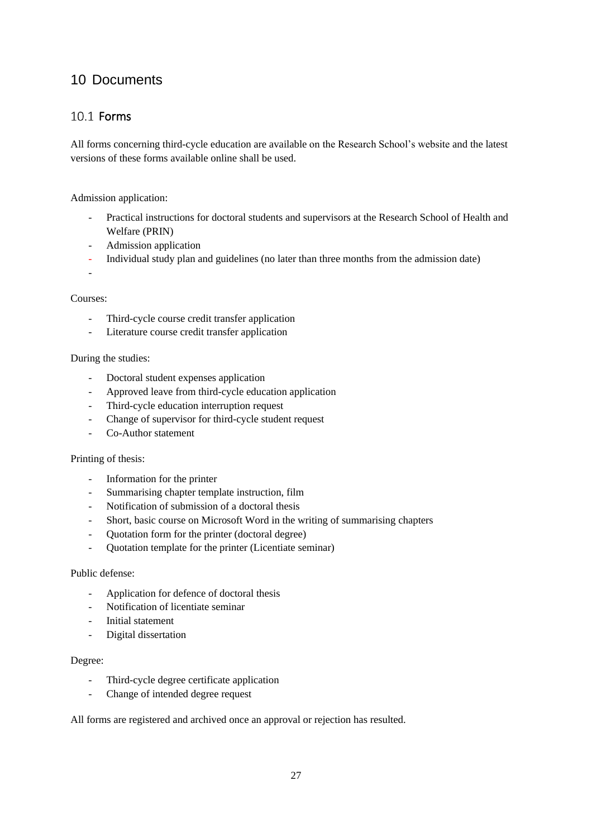## <span id="page-26-0"></span>10 Documents

## 10.1 Forms

All forms concerning third-cycle education are available on the Research School's website and the latest versions of these forms available online shall be used.

Admission application:

- Practical instructions for doctoral students and supervisors at the Research School of Health and Welfare (PRIN)
- Admission application
- Individual study plan and guidelines (no later than three months from the admission date)
- -

#### Courses:

- Third-cycle course credit transfer application
- Literature course credit transfer application

#### During the studies:

- Doctoral student expenses application
- Approved leave from third-cycle education application
- Third-cycle education interruption request
- Change of supervisor for third-cycle student request
- Co-Author statement

#### Printing of thesis:

- Information for the printer
- Summarising chapter template instruction, film
- Notification of submission of a doctoral thesis
- Short, basic course on Microsoft Word in the writing of summarising chapters
- Quotation form for the printer (doctoral degree)
- Quotation template for the printer (Licentiate seminar)

### Public defense:

- Application for defence of doctoral thesis
- Notification of licentiate seminar
- Initial statement
- Digital dissertation

#### Degree:

- Third-cycle degree certificate application
- Change of intended degree request

All forms are registered and archived once an approval or rejection has resulted.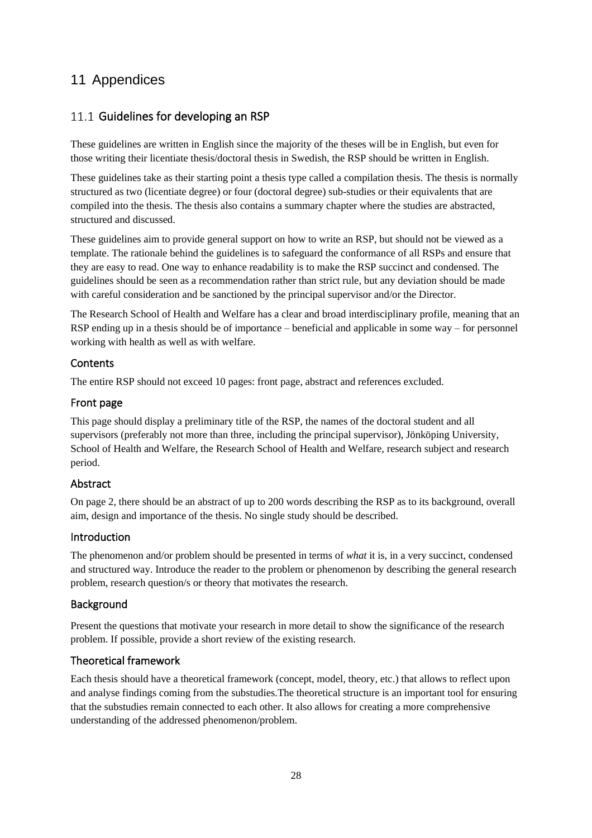## <span id="page-27-0"></span>11 Appendices

## 11.1 Guidelines for developing an RSP

These guidelines are written in English since the majority of the theses will be in English, but even for those writing their licentiate thesis/doctoral thesis in Swedish, the RSP should be written in English.

These guidelines take as their starting point a thesis type called a compilation thesis. The thesis is normally structured as two (licentiate degree) or four (doctoral degree) sub-studies or their equivalents that are compiled into the thesis. The thesis also contains a summary chapter where the studies are abstracted, structured and discussed.

These guidelines aim to provide general support on how to write an RSP, but should not be viewed as a template. The rationale behind the guidelines is to safeguard the conformance of all RSPs and ensure that they are easy to read. One way to enhance readability is to make the RSP succinct and condensed. The guidelines should be seen as a recommendation rather than strict rule, but any deviation should be made with careful consideration and be sanctioned by the principal supervisor and/or the Director.

The Research School of Health and Welfare has a clear and broad interdisciplinary profile, meaning that an RSP ending up in a thesis should be of importance – beneficial and applicable in some way – for personnel working with health as well as with welfare.

### **Contents**

The entire RSP should not exceed 10 pages: front page, abstract and references excluded.

### Front page

This page should display a preliminary title of the RSP, the names of the doctoral student and all supervisors (preferably not more than three, including the principal supervisor), Jönköping University, School of Health and Welfare, the Research School of Health and Welfare, research subject and research period.

### Abstract

On page 2, there should be an abstract of up to 200 words describing the RSP as to its background, overall aim, design and importance of the thesis. No single study should be described.

### Introduction

The phenomenon and/or problem should be presented in terms of *what* it is, in a very succinct, condensed and structured way. Introduce the reader to the problem or phenomenon by describing the general research problem, research question/s or theory that motivates the research.

### Background

Present the questions that motivate your research in more detail to show the significance of the research problem. If possible, provide a short review of the existing research.

### Theoretical framework

Each thesis should have a theoretical framework (concept, model, theory, etc.) that allows to reflect upon and analyse findings coming from the substudies.The theoretical structure is an important tool for ensuring that the substudies remain connected to each other. It also allows for creating a more comprehensive understanding of the addressed phenomenon/problem.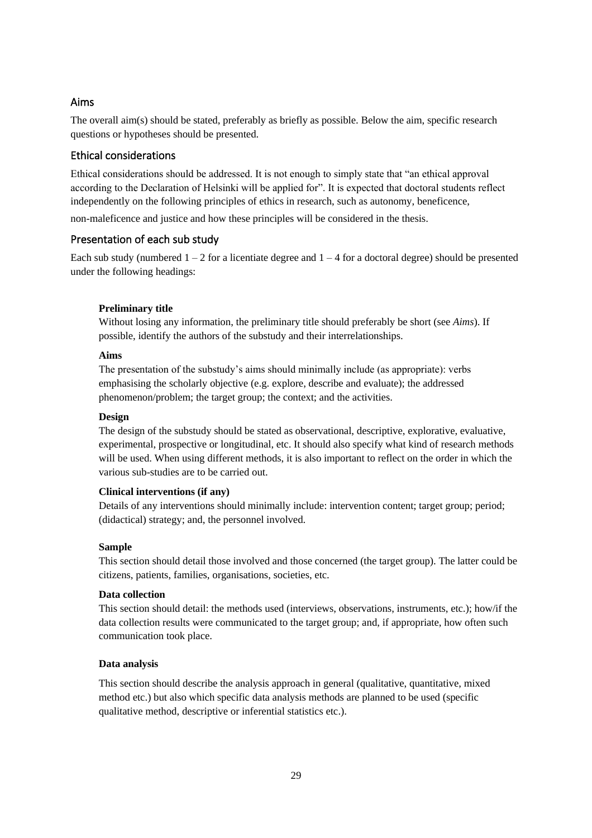### Aims

The overall aim(s) should be stated, preferably as briefly as possible. Below the aim, specific research questions or hypotheses should be presented.

#### Ethical considerations

Ethical considerations should be addressed. It is not enough to simply state that "an ethical approval according to the Declaration of Helsinki will be applied for". It is expected that doctoral students reflect independently on the following principles of ethics in research, such as autonomy, beneficence,

non-maleficence and justice and how these principles will be considered in the thesis.

#### Presentation of each sub study

Each sub study (numbered  $1 - 2$  for a licentiate degree and  $1 - 4$  for a doctoral degree) should be presented under the following headings:

#### **Preliminary title**

Without losing any information, the preliminary title should preferably be short (see *Aims*). If possible, identify the authors of the substudy and their interrelationships.

#### **Aims**

The presentation of the substudy's aims should minimally include (as appropriate): verbs emphasising the scholarly objective (e.g. explore, describe and evaluate); the addressed phenomenon/problem; the target group; the context; and the activities.

#### **Design**

The design of the substudy should be stated as observational, descriptive, explorative, evaluative, experimental, prospective or longitudinal, etc. It should also specify what kind of research methods will be used. When using different methods, it is also important to reflect on the order in which the various sub-studies are to be carried out.

#### **Clinical interventions (if any)**

Details of any interventions should minimally include: intervention content; target group; period; (didactical) strategy; and, the personnel involved.

#### **Sample**

This section should detail those involved and those concerned (the target group). The latter could be citizens, patients, families, organisations, societies, etc.

#### **Data collection**

This section should detail: the methods used (interviews, observations, instruments, etc.); how/if the data collection results were communicated to the target group; and, if appropriate, how often such communication took place.

#### **Data analysis**

This section should describe the analysis approach in general (qualitative, quantitative, mixed method etc.) but also which specific data analysis methods are planned to be used (specific qualitative method, descriptive or inferential statistics etc.).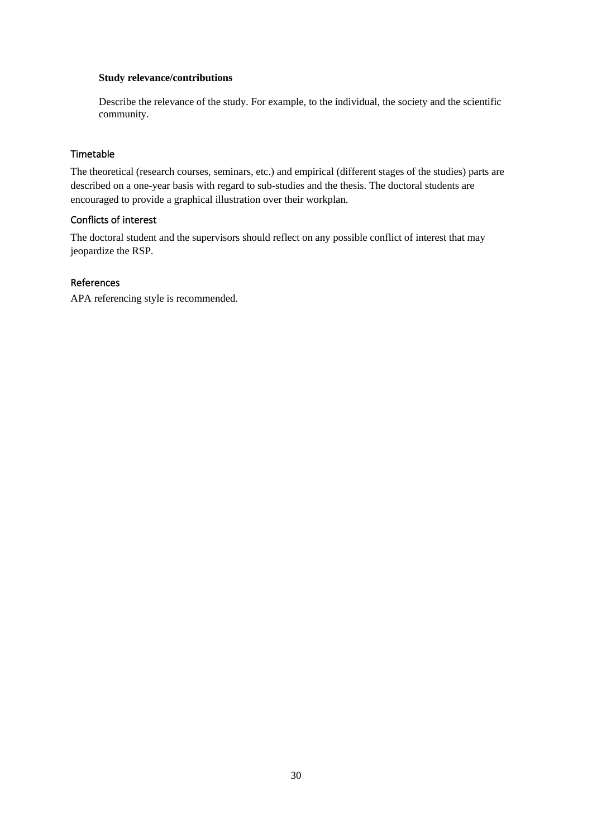#### **Study relevance/contributions**

Describe the relevance of the study. For example, to the individual, the society and the scientific community.

#### Timetable

The theoretical (research courses, seminars, etc.) and empirical (different stages of the studies) parts are described on a one-year basis with regard to sub-studies and the thesis. The doctoral students are encouraged to provide a graphical illustration over their workplan.

#### Conflicts of interest

The doctoral student and the supervisors should reflect on any possible conflict of interest that may jeopardize the RSP.

#### References

APA referencing style is recommended.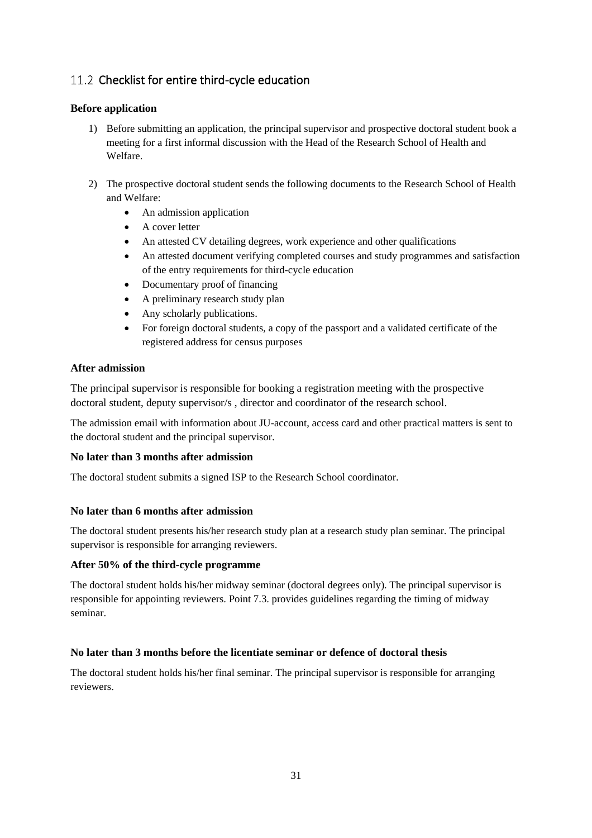## 11.2 Checklist for entire third-cycle education

### **Before application**

- 1) Before submitting an application, the principal supervisor and prospective doctoral student book a meeting for a first informal discussion with the Head of the Research School of Health and Welfare.
- 2) The prospective doctoral student sends the following documents to the Research School of Health and Welfare:
	- An admission application
	- A cover letter
	- An attested CV detailing degrees, work experience and other qualifications
	- An attested document verifying completed courses and study programmes and satisfaction of the entry requirements for third-cycle education
	- Documentary proof of financing
	- A preliminary research study plan
	- Any scholarly publications.
	- For foreign doctoral students, a copy of the passport and a validated certificate of the registered address for census purposes

### **After admission**

The principal supervisor is responsible for booking a registration meeting with the prospective doctoral student, deputy supervisor/s , director and coordinator of the research school.

The admission email with information about JU-account, access card and other practical matters is sent to the doctoral student and the principal supervisor.

### **No later than 3 months after admission**

The doctoral student submits a signed ISP to the Research School coordinator.

### **No later than 6 months after admission**

The doctoral student presents his/her research study plan at a research study plan seminar. The principal supervisor is responsible for arranging reviewers.

### **After 50% of the third-cycle programme**

The doctoral student holds his/her midway seminar (doctoral degrees only). The principal supervisor is responsible for appointing reviewers. Point 7.3. provides guidelines regarding the timing of midway seminar.

### **No later than 3 months before the licentiate seminar or defence of doctoral thesis**

The doctoral student holds his/her final seminar. The principal supervisor is responsible for arranging reviewers.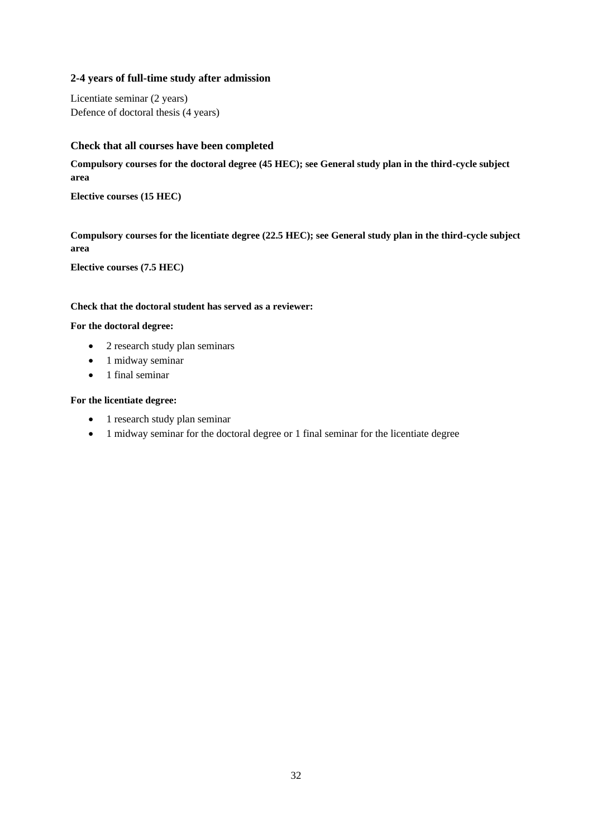### **2-4 years of full-time study after admission**

Licentiate seminar (2 years) Defence of doctoral thesis (4 years)

#### **Check that all courses have been completed**

**Compulsory courses for the doctoral degree (45 HEC); see General study plan in the third-cycle subject area**

**Elective courses (15 HEC)**

**Compulsory courses for the licentiate degree (22.5 HEC); see General study plan in the third-cycle subject area**

**Elective courses (7.5 HEC)**

#### **Check that the doctoral student has served as a reviewer:**

#### **For the doctoral degree:**

- 2 research study plan seminars
- 1 midway seminar
- 1 final seminar

#### **For the licentiate degree:**

- 1 research study plan seminar
- 1 midway seminar for the doctoral degree or 1 final seminar for the licentiate degree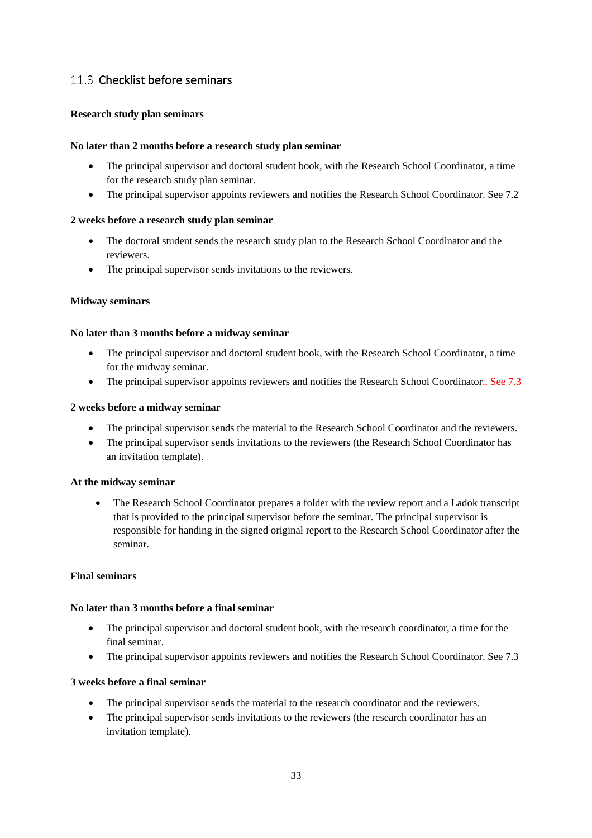## 11.3 Checklist before seminars

#### <span id="page-32-0"></span>**Research study plan seminars**

#### **No later than 2 months before a research study plan seminar**

- The principal supervisor and doctoral student book, with the Research School Coordinator, a time for the research study plan seminar.
- The principal supervisor appoints reviewers and notifies the Research School Coordinator. See 7.2

#### **2 weeks before a research study plan seminar**

- The doctoral student sends the research study plan to the Research School Coordinator and the reviewers.
- The principal supervisor sends invitations to the reviewers.

#### <span id="page-32-1"></span>**Midway seminars**

#### **No later than 3 months before a midway seminar**

- The principal supervisor and doctoral student book, with the Research School Coordinator, a time for the midway seminar.
- The principal supervisor appoints reviewers and notifies the Research School Coordinator.. See 7.3

#### **2 weeks before a midway seminar**

- The principal supervisor sends the material to the Research School Coordinator and the reviewers.
- The principal supervisor sends invitations to the reviewers (the Research School Coordinator has an invitation template).

#### **At the midway seminar**

• The Research School Coordinator prepares a folder with the review report and a Ladok transcript that is provided to the principal supervisor before the seminar. The principal supervisor is responsible for handing in the signed original report to the Research School Coordinator after the seminar.

#### <span id="page-32-2"></span>**Final seminars**

#### **No later than 3 months before a final seminar**

- The principal supervisor and doctoral student book, with the research coordinator, a time for the final seminar.
- The principal supervisor appoints reviewers and notifies the Research School Coordinator. See 7.3

### **3 weeks before a final seminar**

- The principal supervisor sends the material to the research coordinator and the reviewers.
- The principal supervisor sends invitations to the reviewers (the research coordinator has an invitation template).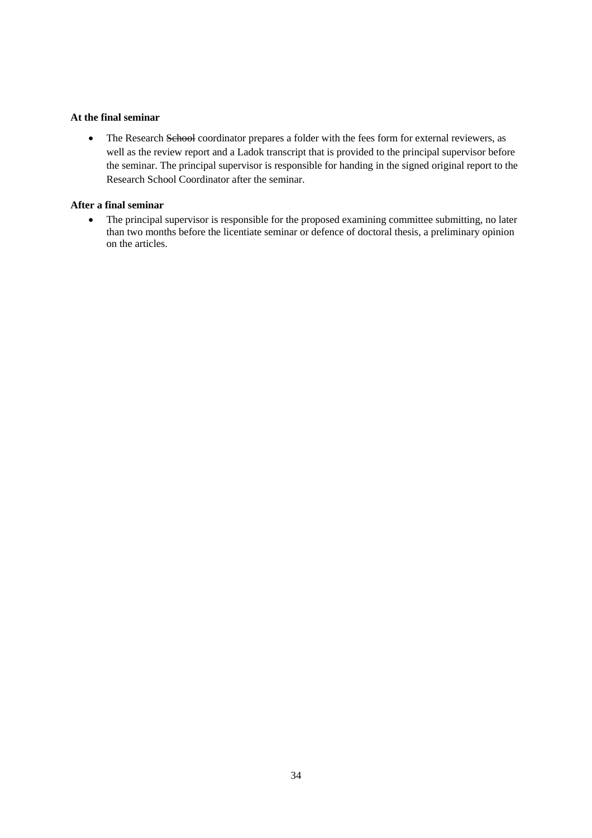#### **At the final seminar**

• The Research School coordinator prepares a folder with the fees form for external reviewers, as well as the review report and a Ladok transcript that is provided to the principal supervisor before the seminar. The principal supervisor is responsible for handing in the signed original report to the Research School Coordinator after the seminar.

#### **After a final seminar**

• The principal supervisor is responsible for the proposed examining committee submitting, no later than two months before the licentiate seminar or defence of doctoral thesis, a preliminary opinion on the articles.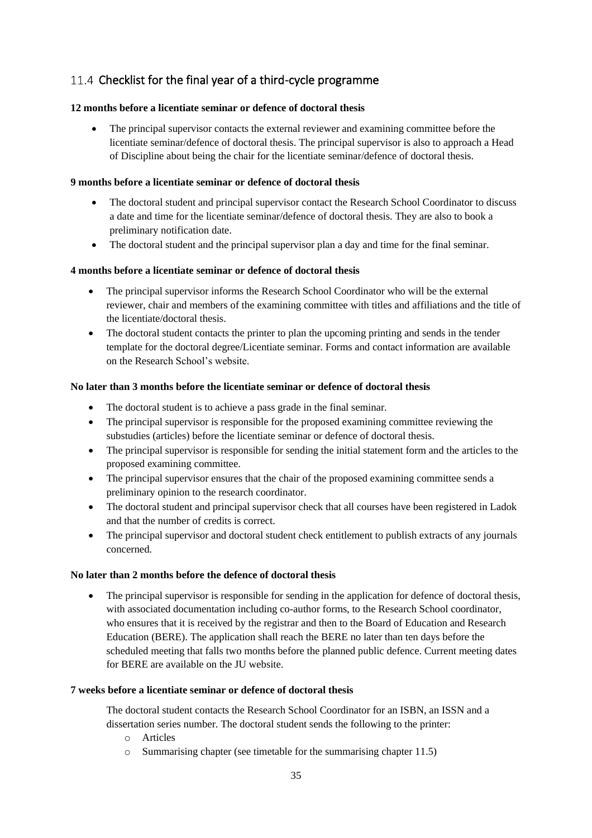## 11.4 Checklist for the final year of a third-cycle programme

### **12 months before a licentiate seminar or defence of doctoral thesis**

• The principal supervisor contacts the external reviewer and examining committee before the licentiate seminar/defence of doctoral thesis. The principal supervisor is also to approach a Head of Discipline about being the chair for the licentiate seminar/defence of doctoral thesis.

### **9 months before a licentiate seminar or defence of doctoral thesis**

- The doctoral student and principal supervisor contact the Research School Coordinator to discuss a date and time for the licentiate seminar/defence of doctoral thesis. They are also to book a preliminary notification date.
- The doctoral student and the principal supervisor plan a day and time for the final seminar.

### **4 months before a licentiate seminar or defence of doctoral thesis**

- The principal supervisor informs the Research School Coordinator who will be the external reviewer, chair and members of the examining committee with titles and affiliations and the title of the licentiate/doctoral thesis.
- The doctoral student contacts the printer to plan the upcoming printing and sends in the tender template for the doctoral degree/Licentiate seminar. Forms and contact information are available on the Research School's website.

### **No later than 3 months before the licentiate seminar or defence of doctoral thesis**

- The doctoral student is to achieve a pass grade in the final seminar.
- The principal supervisor is responsible for the proposed examining committee reviewing the substudies (articles) before the licentiate seminar or defence of doctoral thesis.
- The principal supervisor is responsible for sending the initial statement form and the articles to the proposed examining committee.
- The principal supervisor ensures that the chair of the proposed examining committee sends a preliminary opinion to the research coordinator.
- The doctoral student and principal supervisor check that all courses have been registered in Ladok and that the number of credits is correct.
- The principal supervisor and doctoral student check entitlement to publish extracts of any journals concerned.

#### **No later than 2 months before the defence of doctoral thesis**

• The principal supervisor is responsible for sending in the application for defence of doctoral thesis, with associated documentation including co-author forms, to the Research School coordinator, who ensures that it is received by the registrar and then to the Board of Education and Research Education (BERE). The application shall reach the BERE no later than ten days before the scheduled meeting that falls two months before the planned public defence. Current meeting dates for BERE are available on the JU website.

#### **7 weeks before a licentiate seminar or defence of doctoral thesis**

The doctoral student contacts the Research School Coordinator for an ISBN, an ISSN and a dissertation series number. The doctoral student sends the following to the printer:

- o Articles
- o Summarising chapter (see timetable for the summarising chapter 11.5)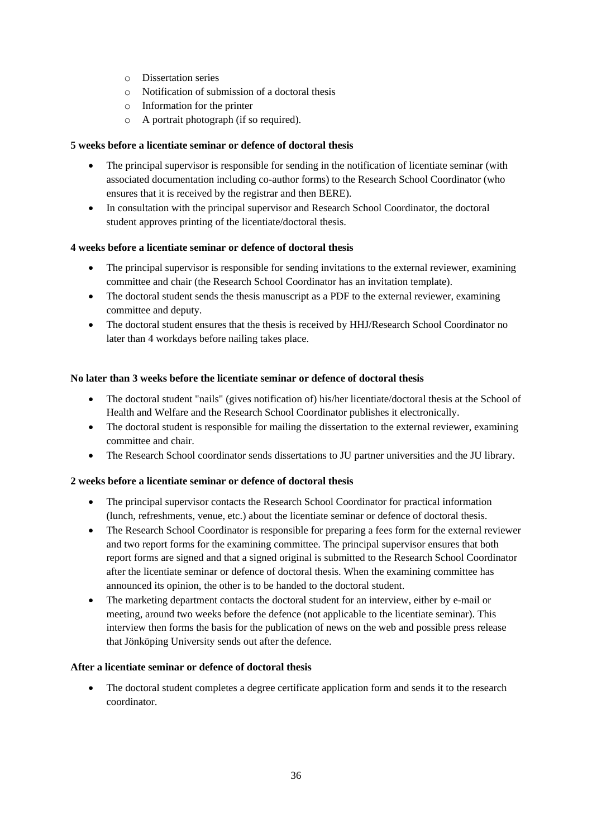- o Dissertation series
- o Notification of submission of a doctoral thesis
- o Information for the printer
- o A portrait photograph (if so required).

#### **5 weeks before a licentiate seminar or defence of doctoral thesis**

- The principal supervisor is responsible for sending in the notification of licentiate seminar (with associated documentation including co-author forms) to the Research School Coordinator (who ensures that it is received by the registrar and then BERE).
- In consultation with the principal supervisor and Research School Coordinator, the doctoral student approves printing of the licentiate/doctoral thesis.

### **4 weeks before a licentiate seminar or defence of doctoral thesis**

- The principal supervisor is responsible for sending invitations to the external reviewer, examining committee and chair (the Research School Coordinator has an invitation template).
- The doctoral student sends the thesis manuscript as a PDF to the external reviewer, examining committee and deputy.
- The doctoral student ensures that the thesis is received by HHJ/Research School Coordinator no later than 4 workdays before nailing takes place.

#### **No later than 3 weeks before the licentiate seminar or defence of doctoral thesis**

- The doctoral student "nails" (gives notification of) his/her licentiate/doctoral thesis at the School of Health and Welfare and the Research School Coordinator publishes it electronically.
- The doctoral student is responsible for mailing the dissertation to the external reviewer, examining committee and chair.
- The Research School coordinator sends dissertations to JU partner universities and the JU library.

#### **2 weeks before a licentiate seminar or defence of doctoral thesis**

- The principal supervisor contacts the Research School Coordinator for practical information (lunch, refreshments, venue, etc.) about the licentiate seminar or defence of doctoral thesis.
- The Research School Coordinator is responsible for preparing a fees form for the external reviewer and two report forms for the examining committee. The principal supervisor ensures that both report forms are signed and that a signed original is submitted to the Research School Coordinator after the licentiate seminar or defence of doctoral thesis. When the examining committee has announced its opinion, the other is to be handed to the doctoral student.
- The marketing department contacts the doctoral student for an interview, either by e-mail or meeting, around two weeks before the defence (not applicable to the licentiate seminar). This interview then forms the basis for the publication of news on the web and possible press release that Jönköping University sends out after the defence.

#### **After a licentiate seminar or defence of doctoral thesis**

• The doctoral student completes a degree certificate application form and sends it to the research coordinator.